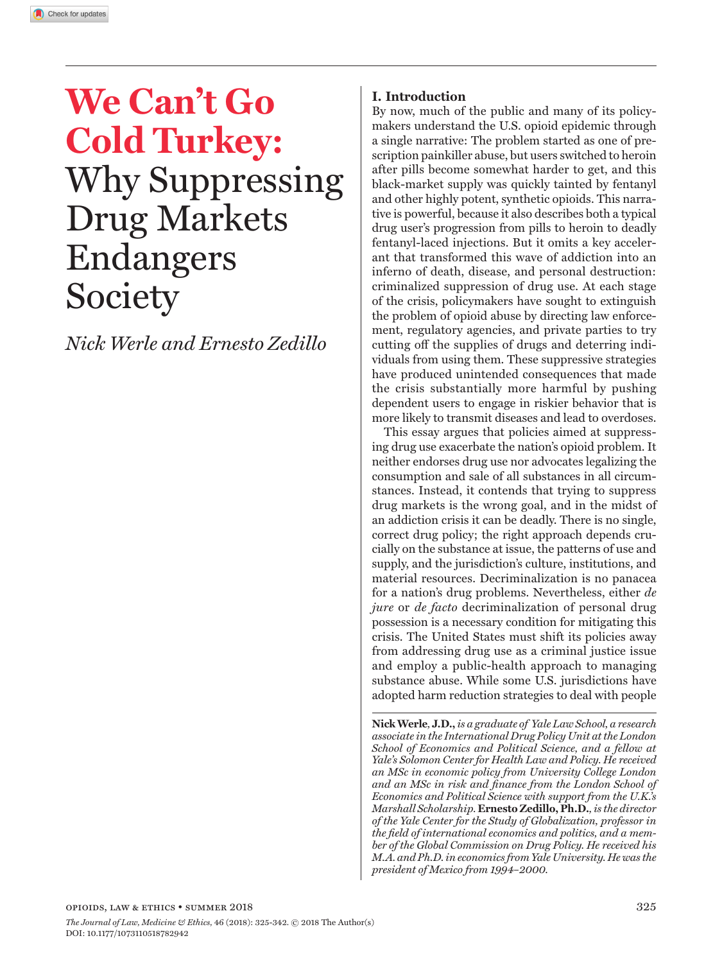# **We Can't Go Cold Turkey:**  Why Suppressing Drug Markets Endangers Society

*Nick Werle and Ernesto Zedillo*

# **I. Introduction**

By now, much of the public and many of its policymakers understand the U.S. opioid epidemic through a single narrative: The problem started as one of prescription painkiller abuse, but users switched to heroin after pills become somewhat harder to get, and this black-market supply was quickly tainted by fentanyl and other highly potent, synthetic opioids. This narrative is powerful, because it also describes both a typical drug user's progression from pills to heroin to deadly fentanyl-laced injections. But it omits a key accelerant that transformed this wave of addiction into an inferno of death, disease, and personal destruction: criminalized suppression of drug use. At each stage of the crisis, policymakers have sought to extinguish the problem of opioid abuse by directing law enforcement, regulatory agencies, and private parties to try cutting off the supplies of drugs and deterring individuals from using them. These suppressive strategies have produced unintended consequences that made the crisis substantially more harmful by pushing dependent users to engage in riskier behavior that is more likely to transmit diseases and lead to overdoses.

This essay argues that policies aimed at suppressing drug use exacerbate the nation's opioid problem. It neither endorses drug use nor advocates legalizing the consumption and sale of all substances in all circumstances. Instead, it contends that trying to suppress drug markets is the wrong goal, and in the midst of an addiction crisis it can be deadly. There is no single, correct drug policy; the right approach depends crucially on the substance at issue, the patterns of use and supply, and the jurisdiction's culture, institutions, and material resources. Decriminalization is no panacea for a nation's drug problems. Nevertheless, either *de jure* or *de facto* decriminalization of personal drug possession is a necessary condition for mitigating this crisis. The United States must shift its policies away from addressing drug use as a criminal justice issue and employ a public-health approach to managing substance abuse. While some U.S. jurisdictions have adopted harm reduction strategies to deal with people

**Nick Werle***,* **J.D.,** *is a graduate of Yale Law School, a research associate in the International Drug Policy Unit at the London School of Economics and Political Science, and a fellow at Yale's Solomon Center for Health Law and Policy. He received an MSc in economic policy from University College London and an MSc in risk and finance from the London School of Economics and Political Science with support from the U.K.'s Marshall Scholarship.* **Ernesto Zedillo, Ph.D.***, is the director of the Yale Center for the Study of Globalization, professor in the field of international economics and politics, and a member of the Global Commission on Drug Policy. He received his M.A. and Ph.D. in economics from Yale University. He was the president of Mexico from 1994–2000.*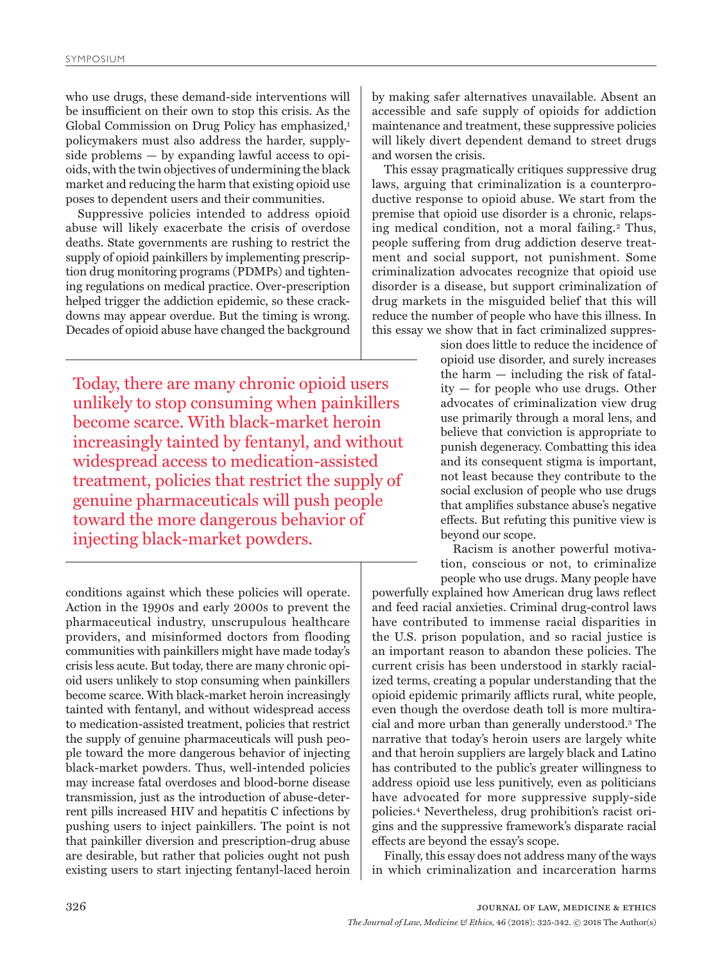who use drugs, these demand-side interventions will be insufficient on their own to stop this crisis. As the Global Commission on Drug Policy has emphasized,<sup>1</sup> policymakers must also address the harder, supplyside problems — by expanding lawful access to opioids, with the twin objectives of undermining the black market and reducing the harm that existing opioid use poses to dependent users and their communities.

Suppressive policies intended to address opioid abuse will likely exacerbate the crisis of overdose deaths. State governments are rushing to restrict the supply of opioid painkillers by implementing prescription drug monitoring programs (PDMPs) and tightening regulations on medical practice. Over-prescription helped trigger the addiction epidemic, so these crackdowns may appear overdue. But the timing is wrong. Decades of opioid abuse have changed the background

Today, there are many chronic opioid users unlikely to stop consuming when painkillers become scarce. With black-market heroin increasingly tainted by fentanyl, and without widespread access to medication-assisted treatment, policies that restrict the supply of genuine pharmaceuticals will push people toward the more dangerous behavior of injecting black-market powders.

conditions against which these policies will operate. Action in the 1990s and early 2000s to prevent the pharmaceutical industry, unscrupulous healthcare providers, and misinformed doctors from flooding communities with painkillers might have made today's crisis less acute. But today, there are many chronic opioid users unlikely to stop consuming when painkillers become scarce. With black-market heroin increasingly tainted with fentanyl, and without widespread access to medication-assisted treatment, policies that restrict the supply of genuine pharmaceuticals will push people toward the more dangerous behavior of injecting black-market powders. Thus, well-intended policies may increase fatal overdoses and blood-borne disease transmission, just as the introduction of abuse-deterrent pills increased HIV and hepatitis C infections by pushing users to inject painkillers. The point is not that painkiller diversion and prescription-drug abuse are desirable, but rather that policies ought not push existing users to start injecting fentanyl-laced heroin

by making safer alternatives unavailable. Absent an accessible and safe supply of opioids for addiction maintenance and treatment, these suppressive policies will likely divert dependent demand to street drugs and worsen the crisis.

This essay pragmatically critiques suppressive drug laws, arguing that criminalization is a counterproductive response to opioid abuse. We start from the premise that opioid use disorder is a chronic, relapsing medical condition, not a moral failing.2 Thus, people suffering from drug addiction deserve treatment and social support, not punishment. Some criminalization advocates recognize that opioid use disorder is a disease, but support criminalization of drug markets in the misguided belief that this will reduce the number of people who have this illness. In this essay we show that in fact criminalized suppres-

> sion does little to reduce the incidence of opioid use disorder, and surely increases the harm — including the risk of fatality — for people who use drugs. Other advocates of criminalization view drug use primarily through a moral lens, and believe that conviction is appropriate to punish degeneracy. Combatting this idea and its consequent stigma is important, not least because they contribute to the social exclusion of people who use drugs that amplifies substance abuse's negative effects. But refuting this punitive view is beyond our scope.

> Racism is another powerful motivation, conscious or not, to criminalize people who use drugs. Many people have

powerfully explained how American drug laws reflect and feed racial anxieties. Criminal drug-control laws have contributed to immense racial disparities in the U.S. prison population, and so racial justice is an important reason to abandon these policies. The current crisis has been understood in starkly racialized terms, creating a popular understanding that the opioid epidemic primarily afflicts rural, white people, even though the overdose death toll is more multiracial and more urban than generally understood.3 The narrative that today's heroin users are largely white and that heroin suppliers are largely black and Latino has contributed to the public's greater willingness to address opioid use less punitively, even as politicians have advocated for more suppressive supply-side policies.4 Nevertheless, drug prohibition's racist origins and the suppressive framework's disparate racial effects are beyond the essay's scope.

Finally, this essay does not address many of the ways in which criminalization and incarceration harms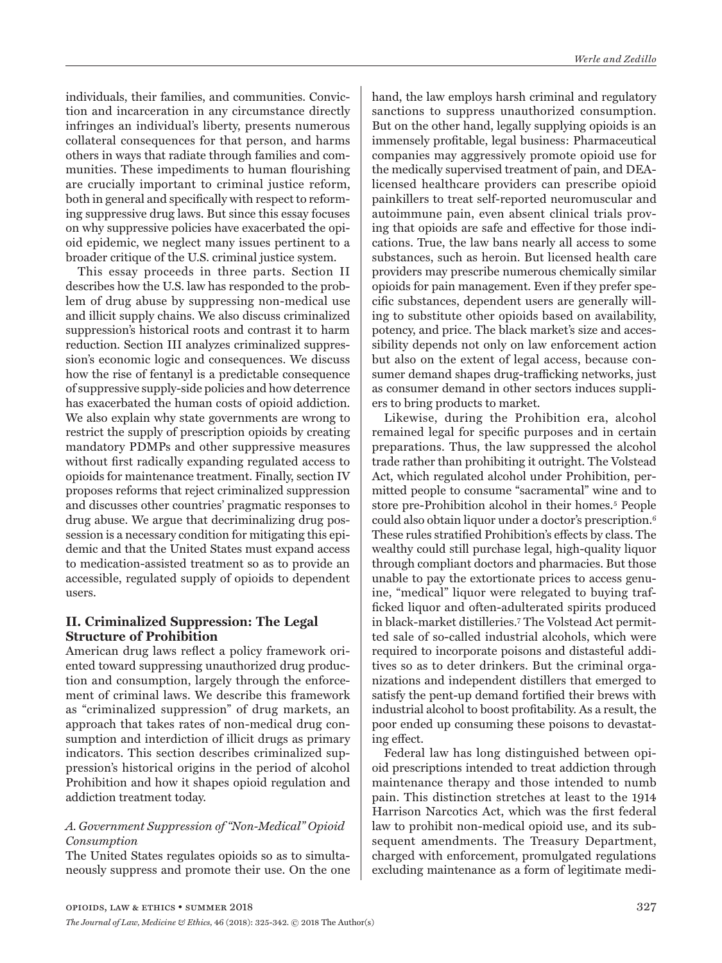individuals, their families, and communities. Conviction and incarceration in any circumstance directly infringes an individual's liberty, presents numerous collateral consequences for that person, and harms others in ways that radiate through families and communities. These impediments to human flourishing are crucially important to criminal justice reform, both in general and specifically with respect to reforming suppressive drug laws. But since this essay focuses on why suppressive policies have exacerbated the opioid epidemic, we neglect many issues pertinent to a broader critique of the U.S. criminal justice system.

This essay proceeds in three parts. Section II describes how the U.S. law has responded to the problem of drug abuse by suppressing non-medical use and illicit supply chains. We also discuss criminalized suppression's historical roots and contrast it to harm reduction. Section III analyzes criminalized suppression's economic logic and consequences. We discuss how the rise of fentanyl is a predictable consequence of suppressive supply-side policies and how deterrence has exacerbated the human costs of opioid addiction. We also explain why state governments are wrong to restrict the supply of prescription opioids by creating mandatory PDMPs and other suppressive measures without first radically expanding regulated access to opioids for maintenance treatment. Finally, section IV proposes reforms that reject criminalized suppression and discusses other countries' pragmatic responses to drug abuse. We argue that decriminalizing drug possession is a necessary condition for mitigating this epidemic and that the United States must expand access to medication-assisted treatment so as to provide an accessible, regulated supply of opioids to dependent users.

# **II. Criminalized Suppression: The Legal Structure of Prohibition**

American drug laws reflect a policy framework oriented toward suppressing unauthorized drug production and consumption, largely through the enforcement of criminal laws. We describe this framework as "criminalized suppression" of drug markets, an approach that takes rates of non-medical drug consumption and interdiction of illicit drugs as primary indicators. This section describes criminalized suppression's historical origins in the period of alcohol Prohibition and how it shapes opioid regulation and addiction treatment today.

## *A. Government Suppression of "Non-Medical" Opioid Consumption*

The United States regulates opioids so as to simultaneously suppress and promote their use. On the one

hand, the law employs harsh criminal and regulatory sanctions to suppress unauthorized consumption. But on the other hand, legally supplying opioids is an immensely profitable, legal business: Pharmaceutical companies may aggressively promote opioid use for the medically supervised treatment of pain, and DEAlicensed healthcare providers can prescribe opioid painkillers to treat self-reported neuromuscular and autoimmune pain, even absent clinical trials proving that opioids are safe and effective for those indications. True, the law bans nearly all access to some substances, such as heroin. But licensed health care providers may prescribe numerous chemically similar opioids for pain management. Even if they prefer specific substances, dependent users are generally willing to substitute other opioids based on availability, potency, and price. The black market's size and accessibility depends not only on law enforcement action but also on the extent of legal access, because consumer demand shapes drug-trafficking networks, just as consumer demand in other sectors induces suppliers to bring products to market.

Likewise, during the Prohibition era, alcohol remained legal for specific purposes and in certain preparations. Thus, the law suppressed the alcohol trade rather than prohibiting it outright. The Volstead Act, which regulated alcohol under Prohibition, permitted people to consume "sacramental" wine and to store pre-Prohibition alcohol in their homes.<sup>5</sup> People could also obtain liquor under a doctor's prescription.6 These rules stratified Prohibition's effects by class. The wealthy could still purchase legal, high-quality liquor through compliant doctors and pharmacies. But those unable to pay the extortionate prices to access genuine, "medical" liquor were relegated to buying trafficked liquor and often-adulterated spirits produced in black-market distilleries.7 The Volstead Act permitted sale of so-called industrial alcohols, which were required to incorporate poisons and distasteful additives so as to deter drinkers. But the criminal organizations and independent distillers that emerged to satisfy the pent-up demand fortified their brews with industrial alcohol to boost profitability. As a result, the poor ended up consuming these poisons to devastating effect.

Federal law has long distinguished between opioid prescriptions intended to treat addiction through maintenance therapy and those intended to numb pain. This distinction stretches at least to the 1914 Harrison Narcotics Act, which was the first federal law to prohibit non-medical opioid use, and its subsequent amendments. The Treasury Department, charged with enforcement, promulgated regulations excluding maintenance as a form of legitimate medi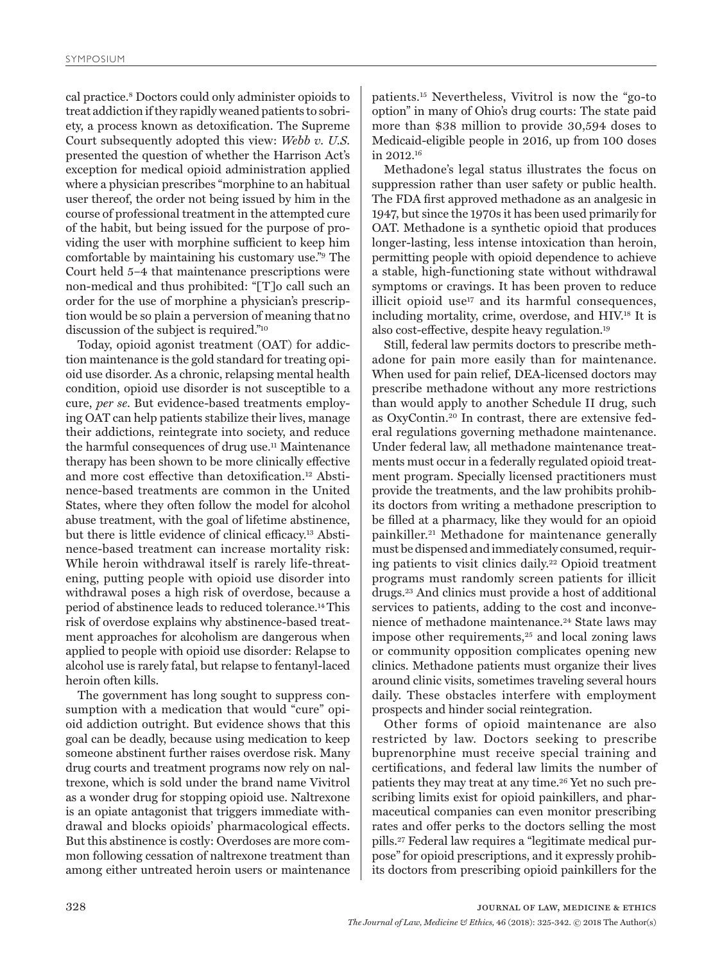cal practice.8 Doctors could only administer opioids to treat addiction if they rapidly weaned patients to sobriety, a process known as detoxification. The Supreme Court subsequently adopted this view: *Webb v. U.S.* presented the question of whether the Harrison Act's exception for medical opioid administration applied where a physician prescribes "morphine to an habitual user thereof, the order not being issued by him in the course of professional treatment in the attempted cure of the habit, but being issued for the purpose of providing the user with morphine sufficient to keep him comfortable by maintaining his customary use."9 The Court held 5–4 that maintenance prescriptions were non-medical and thus prohibited: "[T]o call such an order for the use of morphine a physician's prescription would be so plain a perversion of meaning that no discussion of the subject is required."10

Today, opioid agonist treatment (OAT) for addiction maintenance is the gold standard for treating opioid use disorder. As a chronic, relapsing mental health condition, opioid use disorder is not susceptible to a cure, *per se*. But evidence-based treatments employing OAT can help patients stabilize their lives, manage their addictions, reintegrate into society, and reduce the harmful consequences of drug use.11 Maintenance therapy has been shown to be more clinically effective and more cost effective than detoxification.12 Abstinence-based treatments are common in the United States, where they often follow the model for alcohol abuse treatment, with the goal of lifetime abstinence, but there is little evidence of clinical efficacy.13 Abstinence-based treatment can increase mortality risk: While heroin withdrawal itself is rarely life-threatening, putting people with opioid use disorder into withdrawal poses a high risk of overdose, because a period of abstinence leads to reduced tolerance.14 This risk of overdose explains why abstinence-based treatment approaches for alcoholism are dangerous when applied to people with opioid use disorder: Relapse to alcohol use is rarely fatal, but relapse to fentanyl-laced heroin often kills.

The government has long sought to suppress consumption with a medication that would "cure" opioid addiction outright. But evidence shows that this goal can be deadly, because using medication to keep someone abstinent further raises overdose risk. Many drug courts and treatment programs now rely on naltrexone, which is sold under the brand name Vivitrol as a wonder drug for stopping opioid use. Naltrexone is an opiate antagonist that triggers immediate withdrawal and blocks opioids' pharmacological effects. But this abstinence is costly: Overdoses are more common following cessation of naltrexone treatment than among either untreated heroin users or maintenance

patients.15 Nevertheless, Vivitrol is now the "go-to option" in many of Ohio's drug courts: The state paid more than \$38 million to provide 30,594 doses to Medicaid-eligible people in 2016, up from 100 doses in 2012.16

Methadone's legal status illustrates the focus on suppression rather than user safety or public health. The FDA first approved methadone as an analgesic in 1947, but since the 1970s it has been used primarily for OAT. Methadone is a synthetic opioid that produces longer-lasting, less intense intoxication than heroin, permitting people with opioid dependence to achieve a stable, high-functioning state without withdrawal symptoms or cravings. It has been proven to reduce illicit opioid use<sup>17</sup> and its harmful consequences, including mortality, crime, overdose, and HIV.18 It is also cost-effective, despite heavy regulation.19

Still, federal law permits doctors to prescribe methadone for pain more easily than for maintenance. When used for pain relief, DEA-licensed doctors may prescribe methadone without any more restrictions than would apply to another Schedule II drug, such as OxyContin.20 In contrast, there are extensive federal regulations governing methadone maintenance. Under federal law, all methadone maintenance treatments must occur in a federally regulated opioid treatment program. Specially licensed practitioners must provide the treatments, and the law prohibits prohibits doctors from writing a methadone prescription to be filled at a pharmacy, like they would for an opioid painkiller.21 Methadone for maintenance generally must be dispensed and immediately consumed, requiring patients to visit clinics daily.22 Opioid treatment programs must randomly screen patients for illicit drugs.23 And clinics must provide a host of additional services to patients, adding to the cost and inconvenience of methadone maintenance.24 State laws may impose other requirements,<sup>25</sup> and local zoning laws or community opposition complicates opening new clinics. Methadone patients must organize their lives around clinic visits, sometimes traveling several hours daily. These obstacles interfere with employment prospects and hinder social reintegration.

Other forms of opioid maintenance are also restricted by law. Doctors seeking to prescribe buprenorphine must receive special training and certifications, and federal law limits the number of patients they may treat at any time.26 Yet no such prescribing limits exist for opioid painkillers, and pharmaceutical companies can even monitor prescribing rates and offer perks to the doctors selling the most pills.27 Federal law requires a "legitimate medical purpose" for opioid prescriptions, and it expressly prohibits doctors from prescribing opioid painkillers for the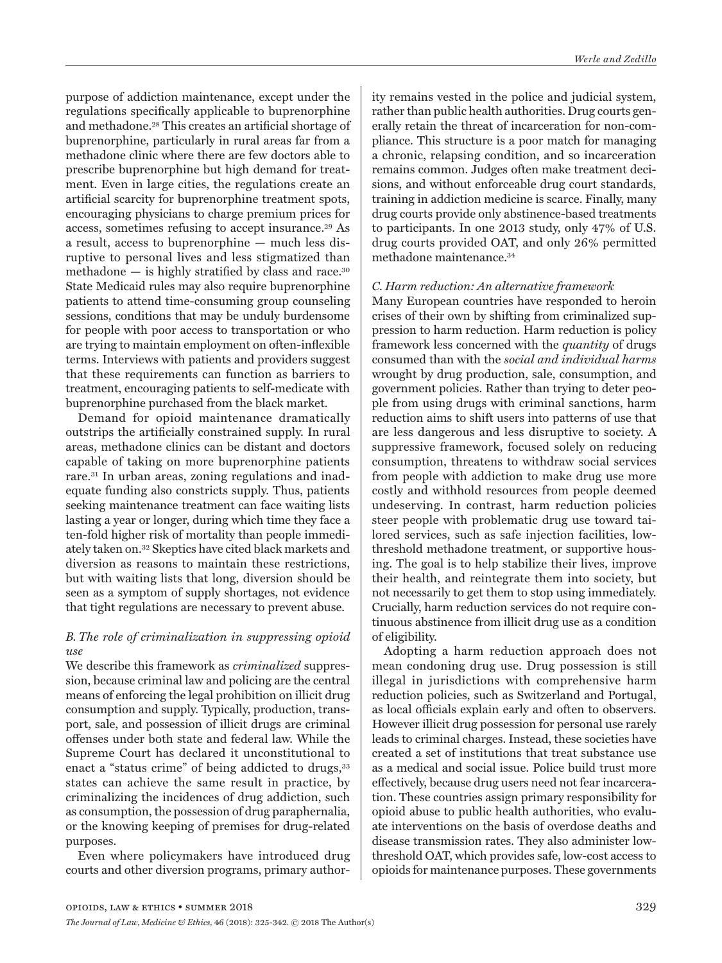purpose of addiction maintenance, except under the regulations specifically applicable to buprenorphine and methadone.28 This creates an artificial shortage of buprenorphine, particularly in rural areas far from a methadone clinic where there are few doctors able to prescribe buprenorphine but high demand for treatment. Even in large cities, the regulations create an artificial scarcity for buprenorphine treatment spots, encouraging physicians to charge premium prices for access, sometimes refusing to accept insurance.29 As a result, access to buprenorphine — much less disruptive to personal lives and less stigmatized than methadone  $-$  is highly stratified by class and race.<sup>30</sup> State Medicaid rules may also require buprenorphine patients to attend time-consuming group counseling sessions, conditions that may be unduly burdensome for people with poor access to transportation or who are trying to maintain employment on often-inflexible terms. Interviews with patients and providers suggest that these requirements can function as barriers to treatment, encouraging patients to self-medicate with buprenorphine purchased from the black market.

Demand for opioid maintenance dramatically outstrips the artificially constrained supply. In rural areas, methadone clinics can be distant and doctors capable of taking on more buprenorphine patients rare.31 In urban areas, zoning regulations and inadequate funding also constricts supply. Thus, patients seeking maintenance treatment can face waiting lists lasting a year or longer, during which time they face a ten-fold higher risk of mortality than people immediately taken on.32 Skeptics have cited black markets and diversion as reasons to maintain these restrictions, but with waiting lists that long, diversion should be seen as a symptom of supply shortages, not evidence that tight regulations are necessary to prevent abuse.

## *B. The role of criminalization in suppressing opioid use*

We describe this framework as *criminalized* suppression, because criminal law and policing are the central means of enforcing the legal prohibition on illicit drug consumption and supply. Typically, production, transport, sale, and possession of illicit drugs are criminal offenses under both state and federal law. While the Supreme Court has declared it unconstitutional to enact a "status crime" of being addicted to drugs, 33 states can achieve the same result in practice, by criminalizing the incidences of drug addiction, such as consumption, the possession of drug paraphernalia, or the knowing keeping of premises for drug-related purposes.

Even where policymakers have introduced drug courts and other diversion programs, primary authority remains vested in the police and judicial system, rather than public health authorities. Drug courts generally retain the threat of incarceration for non-compliance. This structure is a poor match for managing a chronic, relapsing condition, and so incarceration remains common. Judges often make treatment decisions, and without enforceable drug court standards, training in addiction medicine is scarce. Finally, many drug courts provide only abstinence-based treatments to participants. In one 2013 study, only 47% of U.S. drug courts provided OAT, and only 26% permitted methadone maintenance.34

## *C. Harm reduction: An alternative framework*

Many European countries have responded to heroin crises of their own by shifting from criminalized suppression to harm reduction. Harm reduction is policy framework less concerned with the *quantity* of drugs consumed than with the *social and individual harms* wrought by drug production, sale, consumption, and government policies. Rather than trying to deter people from using drugs with criminal sanctions, harm reduction aims to shift users into patterns of use that are less dangerous and less disruptive to society. A suppressive framework, focused solely on reducing consumption, threatens to withdraw social services from people with addiction to make drug use more costly and withhold resources from people deemed undeserving. In contrast, harm reduction policies steer people with problematic drug use toward tailored services, such as safe injection facilities, lowthreshold methadone treatment, or supportive housing. The goal is to help stabilize their lives, improve their health, and reintegrate them into society, but not necessarily to get them to stop using immediately. Crucially, harm reduction services do not require continuous abstinence from illicit drug use as a condition of eligibility.

Adopting a harm reduction approach does not mean condoning drug use. Drug possession is still illegal in jurisdictions with comprehensive harm reduction policies, such as Switzerland and Portugal, as local officials explain early and often to observers. However illicit drug possession for personal use rarely leads to criminal charges. Instead, these societies have created a set of institutions that treat substance use as a medical and social issue. Police build trust more effectively, because drug users need not fear incarceration. These countries assign primary responsibility for opioid abuse to public health authorities, who evaluate interventions on the basis of overdose deaths and disease transmission rates. They also administer lowthreshold OAT, which provides safe, low-cost access to opioids for maintenance purposes. These governments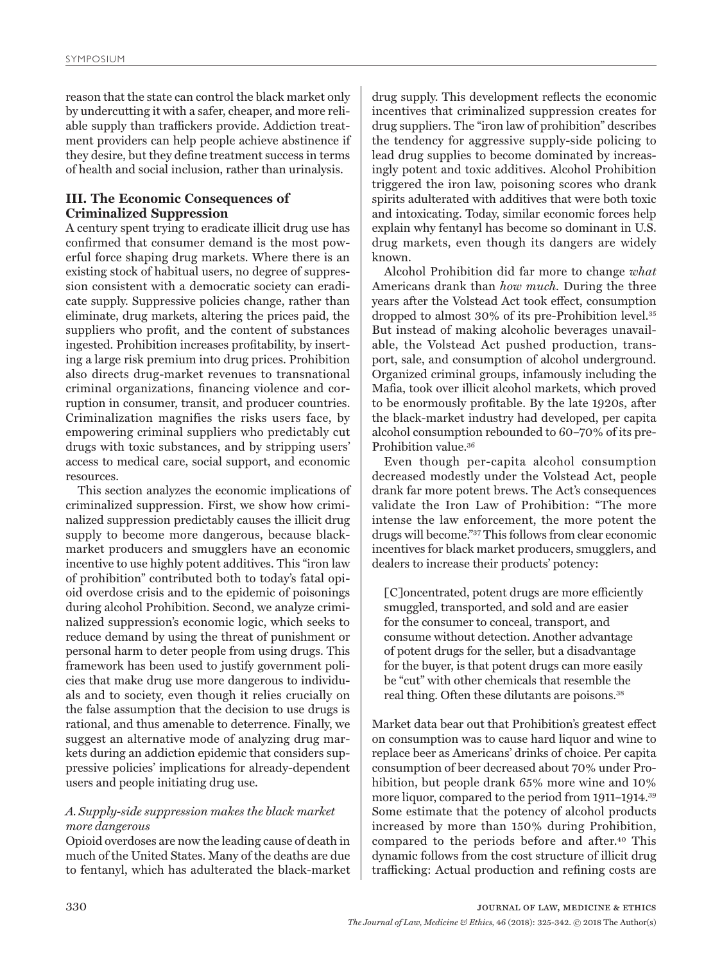reason that the state can control the black market only by undercutting it with a safer, cheaper, and more reliable supply than traffickers provide. Addiction treatment providers can help people achieve abstinence if they desire, but they define treatment success in terms of health and social inclusion, rather than urinalysis.

# **III. The Economic Consequences of Criminalized Suppression**

A century spent trying to eradicate illicit drug use has confirmed that consumer demand is the most powerful force shaping drug markets. Where there is an existing stock of habitual users, no degree of suppression consistent with a democratic society can eradicate supply. Suppressive policies change, rather than eliminate, drug markets, altering the prices paid, the suppliers who profit, and the content of substances ingested. Prohibition increases profitability, by inserting a large risk premium into drug prices. Prohibition also directs drug-market revenues to transnational criminal organizations, financing violence and corruption in consumer, transit, and producer countries. Criminalization magnifies the risks users face, by empowering criminal suppliers who predictably cut drugs with toxic substances, and by stripping users' access to medical care, social support, and economic resources.

This section analyzes the economic implications of criminalized suppression. First, we show how criminalized suppression predictably causes the illicit drug supply to become more dangerous, because blackmarket producers and smugglers have an economic incentive to use highly potent additives. This "iron law of prohibition" contributed both to today's fatal opioid overdose crisis and to the epidemic of poisonings during alcohol Prohibition. Second, we analyze criminalized suppression's economic logic, which seeks to reduce demand by using the threat of punishment or personal harm to deter people from using drugs. This framework has been used to justify government policies that make drug use more dangerous to individuals and to society, even though it relies crucially on the false assumption that the decision to use drugs is rational, and thus amenable to deterrence. Finally, we suggest an alternative mode of analyzing drug markets during an addiction epidemic that considers suppressive policies' implications for already-dependent users and people initiating drug use.

## *A. Supply-side suppression makes the black market more dangerous*

Opioid overdoses are now the leading cause of death in much of the United States. Many of the deaths are due to fentanyl, which has adulterated the black-market

drug supply. This development reflects the economic incentives that criminalized suppression creates for drug suppliers. The "iron law of prohibition" describes the tendency for aggressive supply-side policing to lead drug supplies to become dominated by increasingly potent and toxic additives. Alcohol Prohibition triggered the iron law, poisoning scores who drank spirits adulterated with additives that were both toxic and intoxicating. Today, similar economic forces help explain why fentanyl has become so dominant in U.S. drug markets, even though its dangers are widely known.

Alcohol Prohibition did far more to change *what* Americans drank than *how much.* During the three years after the Volstead Act took effect, consumption dropped to almost 30% of its pre-Prohibition level.35 But instead of making alcoholic beverages unavailable, the Volstead Act pushed production, transport, sale, and consumption of alcohol underground. Organized criminal groups, infamously including the Mafia, took over illicit alcohol markets, which proved to be enormously profitable. By the late 1920s, after the black-market industry had developed, per capita alcohol consumption rebounded to 60–70% of its pre-Prohibition value.<sup>36</sup>

Even though per-capita alcohol consumption decreased modestly under the Volstead Act, people drank far more potent brews. The Act's consequences validate the Iron Law of Prohibition: "The more intense the law enforcement, the more potent the drugs will become."37 This follows from clear economic incentives for black market producers, smugglers, and dealers to increase their products' potency:

[C]oncentrated, potent drugs are more efficiently smuggled, transported, and sold and are easier for the consumer to conceal, transport, and consume without detection. Another advantage of potent drugs for the seller, but a disadvantage for the buyer, is that potent drugs can more easily be "cut" with other chemicals that resemble the real thing. Often these dilutants are poisons.38

Market data bear out that Prohibition's greatest effect on consumption was to cause hard liquor and wine to replace beer as Americans' drinks of choice. Per capita consumption of beer decreased about 70% under Prohibition, but people drank 65% more wine and 10% more liquor, compared to the period from 1911–1914.39 Some estimate that the potency of alcohol products increased by more than 150% during Prohibition, compared to the periods before and after.40 This dynamic follows from the cost structure of illicit drug trafficking: Actual production and refining costs are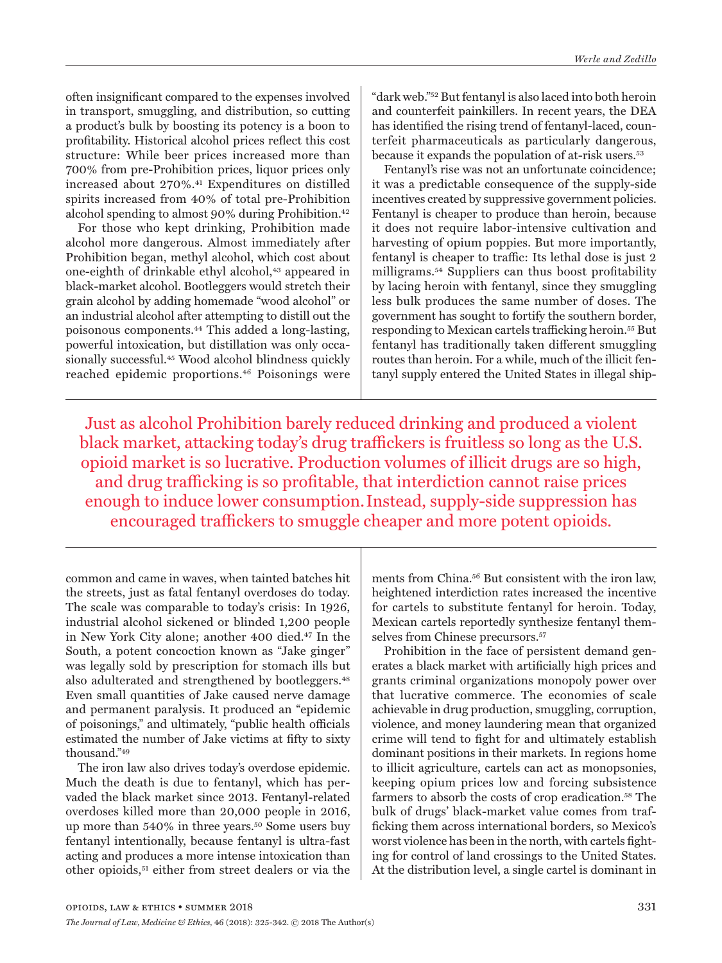often insignificant compared to the expenses involved in transport, smuggling, and distribution, so cutting a product's bulk by boosting its potency is a boon to profitability. Historical alcohol prices reflect this cost structure: While beer prices increased more than 700% from pre-Prohibition prices, liquor prices only increased about 270%.41 Expenditures on distilled spirits increased from 40% of total pre-Prohibition alcohol spending to almost 90% during Prohibition.42

For those who kept drinking, Prohibition made alcohol more dangerous. Almost immediately after Prohibition began, methyl alcohol, which cost about one-eighth of drinkable ethyl alcohol,<sup>43</sup> appeared in black-market alcohol. Bootleggers would stretch their grain alcohol by adding homemade "wood alcohol" or an industrial alcohol after attempting to distill out the poisonous components.44 This added a long-lasting, powerful intoxication, but distillation was only occasionally successful.45 Wood alcohol blindness quickly reached epidemic proportions.46 Poisonings were

"dark web."52 But fentanyl is also laced into both heroin and counterfeit painkillers. In recent years, the DEA has identified the rising trend of fentanyl-laced, counterfeit pharmaceuticals as particularly dangerous, because it expands the population of at-risk users.53

Fentanyl's rise was not an unfortunate coincidence; it was a predictable consequence of the supply-side incentives created by suppressive government policies. Fentanyl is cheaper to produce than heroin, because it does not require labor-intensive cultivation and harvesting of opium poppies. But more importantly, fentanyl is cheaper to traffic: Its lethal dose is just 2 milligrams.54 Suppliers can thus boost profitability by lacing heroin with fentanyl, since they smuggling less bulk produces the same number of doses. The government has sought to fortify the southern border, responding to Mexican cartels trafficking heroin.55 But fentanyl has traditionally taken different smuggling routes than heroin. For a while, much of the illicit fentanyl supply entered the United States in illegal ship-

Just as alcohol Prohibition barely reduced drinking and produced a violent black market, attacking today's drug traffickers is fruitless so long as the U.S. opioid market is so lucrative. Production volumes of illicit drugs are so high, and drug trafficking is so profitable, that interdiction cannot raise prices enough to induce lower consumption.Instead, supply-side suppression has encouraged traffickers to smuggle cheaper and more potent opioids.

common and came in waves, when tainted batches hit the streets, just as fatal fentanyl overdoses do today. The scale was comparable to today's crisis: In 1926, industrial alcohol sickened or blinded 1,200 people in New York City alone; another 400 died.<sup>47</sup> In the South, a potent concoction known as "Jake ginger" was legally sold by prescription for stomach ills but also adulterated and strengthened by bootleggers.<sup>48</sup> Even small quantities of Jake caused nerve damage and permanent paralysis. It produced an "epidemic of poisonings," and ultimately, "public health officials estimated the number of Jake victims at fifty to sixty thousand."49

The iron law also drives today's overdose epidemic. Much the death is due to fentanyl, which has pervaded the black market since 2013. Fentanyl-related overdoses killed more than 20,000 people in 2016, up more than 540% in three years.<sup>50</sup> Some users buy fentanyl intentionally, because fentanyl is ultra-fast acting and produces a more intense intoxication than other opioids,51 either from street dealers or via the

ments from China.56 But consistent with the iron law, heightened interdiction rates increased the incentive for cartels to substitute fentanyl for heroin. Today, Mexican cartels reportedly synthesize fentanyl themselves from Chinese precursors.<sup>57</sup>

Prohibition in the face of persistent demand generates a black market with artificially high prices and grants criminal organizations monopoly power over that lucrative commerce. The economies of scale achievable in drug production, smuggling, corruption, violence, and money laundering mean that organized crime will tend to fight for and ultimately establish dominant positions in their markets. In regions home to illicit agriculture, cartels can act as monopsonies, keeping opium prices low and forcing subsistence farmers to absorb the costs of crop eradication.<sup>58</sup> The bulk of drugs' black-market value comes from trafficking them across international borders, so Mexico's worst violence has been in the north, with cartels fighting for control of land crossings to the United States. At the distribution level, a single cartel is dominant in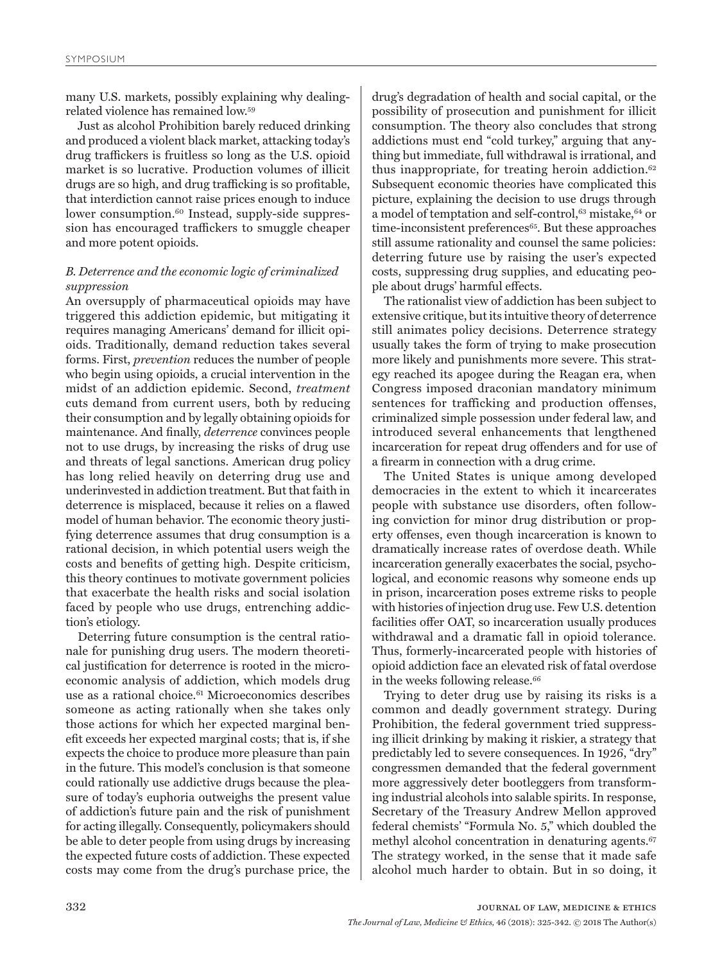many U.S. markets, possibly explaining why dealingrelated violence has remained low.59

Just as alcohol Prohibition barely reduced drinking and produced a violent black market, attacking today's drug traffickers is fruitless so long as the U.S. opioid market is so lucrative. Production volumes of illicit drugs are so high, and drug trafficking is so profitable, that interdiction cannot raise prices enough to induce lower consumption.<sup>60</sup> Instead, supply-side suppression has encouraged traffickers to smuggle cheaper and more potent opioids.

#### *B. Deterrence and the economic logic of criminalized suppression*

An oversupply of pharmaceutical opioids may have triggered this addiction epidemic, but mitigating it requires managing Americans' demand for illicit opioids. Traditionally, demand reduction takes several forms. First, *prevention* reduces the number of people who begin using opioids, a crucial intervention in the midst of an addiction epidemic. Second, *treatment* cuts demand from current users, both by reducing their consumption and by legally obtaining opioids for maintenance. And finally, *deterrence* convinces people not to use drugs, by increasing the risks of drug use and threats of legal sanctions. American drug policy has long relied heavily on deterring drug use and underinvested in addiction treatment. But that faith in deterrence is misplaced, because it relies on a flawed model of human behavior. The economic theory justifying deterrence assumes that drug consumption is a rational decision, in which potential users weigh the costs and benefits of getting high. Despite criticism, this theory continues to motivate government policies that exacerbate the health risks and social isolation faced by people who use drugs, entrenching addiction's etiology.

Deterring future consumption is the central rationale for punishing drug users. The modern theoretical justification for deterrence is rooted in the microeconomic analysis of addiction, which models drug use as a rational choice.<sup>61</sup> Microeconomics describes someone as acting rationally when she takes only those actions for which her expected marginal benefit exceeds her expected marginal costs; that is, if she expects the choice to produce more pleasure than pain in the future. This model's conclusion is that someone could rationally use addictive drugs because the pleasure of today's euphoria outweighs the present value of addiction's future pain and the risk of punishment for acting illegally. Consequently, policymakers should be able to deter people from using drugs by increasing the expected future costs of addiction. These expected costs may come from the drug's purchase price, the

drug's degradation of health and social capital, or the possibility of prosecution and punishment for illicit consumption. The theory also concludes that strong addictions must end "cold turkey," arguing that anything but immediate, full withdrawal is irrational, and thus inappropriate, for treating heroin addiction.62 Subsequent economic theories have complicated this picture, explaining the decision to use drugs through a model of temptation and self-control,<sup>63</sup> mistake,<sup>64</sup> or time-inconsistent preferences<sup>65</sup>. But these approaches still assume rationality and counsel the same policies: deterring future use by raising the user's expected costs, suppressing drug supplies, and educating people about drugs' harmful effects.

The rationalist view of addiction has been subject to extensive critique, but its intuitive theory of deterrence still animates policy decisions. Deterrence strategy usually takes the form of trying to make prosecution more likely and punishments more severe. This strategy reached its apogee during the Reagan era, when Congress imposed draconian mandatory minimum sentences for trafficking and production offenses, criminalized simple possession under federal law, and introduced several enhancements that lengthened incarceration for repeat drug offenders and for use of a firearm in connection with a drug crime.

The United States is unique among developed democracies in the extent to which it incarcerates people with substance use disorders, often following conviction for minor drug distribution or property offenses, even though incarceration is known to dramatically increase rates of overdose death. While incarceration generally exacerbates the social, psychological, and economic reasons why someone ends up in prison, incarceration poses extreme risks to people with histories of injection drug use. Few U.S. detention facilities offer OAT, so incarceration usually produces withdrawal and a dramatic fall in opioid tolerance. Thus, formerly-incarcerated people with histories of opioid addiction face an elevated risk of fatal overdose in the weeks following release.<sup>66</sup>

Trying to deter drug use by raising its risks is a common and deadly government strategy. During Prohibition, the federal government tried suppressing illicit drinking by making it riskier, a strategy that predictably led to severe consequences. In 1926, "dry" congressmen demanded that the federal government more aggressively deter bootleggers from transforming industrial alcohols into salable spirits. In response, Secretary of the Treasury Andrew Mellon approved federal chemists' "Formula No. 5," which doubled the methyl alcohol concentration in denaturing agents.<sup>67</sup> The strategy worked, in the sense that it made safe alcohol much harder to obtain. But in so doing, it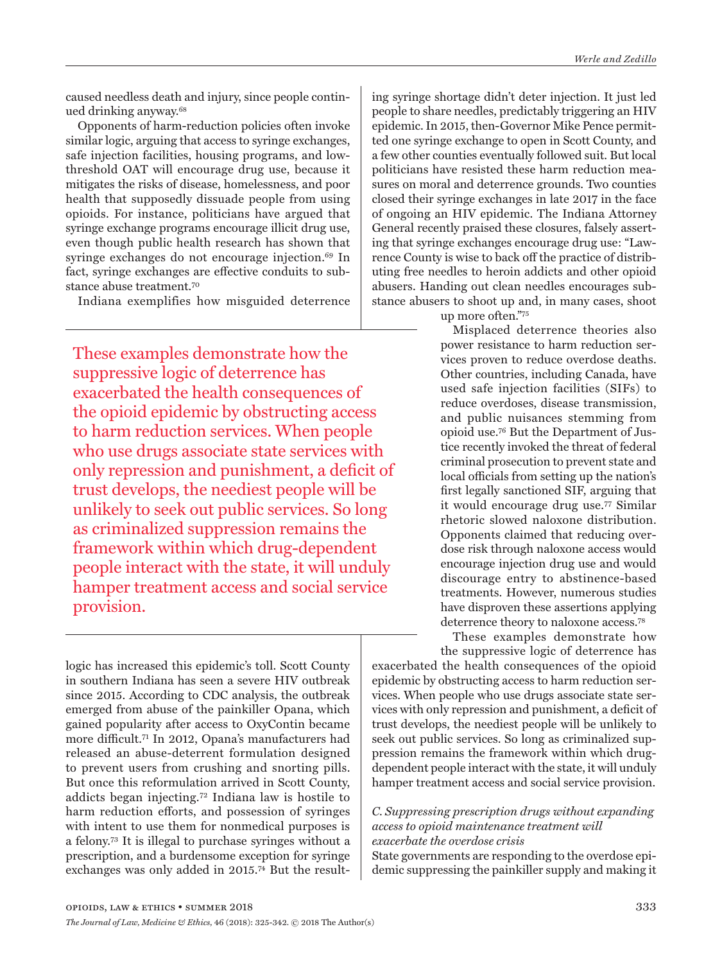caused needless death and injury, since people continued drinking anyway.68

Opponents of harm-reduction policies often invoke similar logic, arguing that access to syringe exchanges, safe injection facilities, housing programs, and lowthreshold OAT will encourage drug use, because it mitigates the risks of disease, homelessness, and poor health that supposedly dissuade people from using opioids. For instance, politicians have argued that syringe exchange programs encourage illicit drug use, even though public health research has shown that syringe exchanges do not encourage injection.69 In fact, syringe exchanges are effective conduits to substance abuse treatment.70

Indiana exemplifies how misguided deterrence

These examples demonstrate how the suppressive logic of deterrence has exacerbated the health consequences of the opioid epidemic by obstructing access to harm reduction services. When people who use drugs associate state services with only repression and punishment, a deficit of trust develops, the neediest people will be unlikely to seek out public services. So long as criminalized suppression remains the framework within which drug-dependent people interact with the state, it will unduly hamper treatment access and social service provision.

logic has increased this epidemic's toll. Scott County in southern Indiana has seen a severe HIV outbreak since 2015. According to CDC analysis, the outbreak emerged from abuse of the painkiller Opana, which gained popularity after access to OxyContin became more difficult.71 In 2012, Opana's manufacturers had released an abuse-deterrent formulation designed to prevent users from crushing and snorting pills. But once this reformulation arrived in Scott County, addicts began injecting.72 Indiana law is hostile to harm reduction efforts, and possession of syringes with intent to use them for nonmedical purposes is a felony.73 It is illegal to purchase syringes without a prescription, and a burdensome exception for syringe exchanges was only added in 2015.74 But the result-

ing syringe shortage didn't deter injection. It just led people to share needles, predictably triggering an HIV epidemic. In 2015, then-Governor Mike Pence permitted one syringe exchange to open in Scott County, and a few other counties eventually followed suit. But local politicians have resisted these harm reduction measures on moral and deterrence grounds. Two counties closed their syringe exchanges in late 2017 in the face of ongoing an HIV epidemic. The Indiana Attorney General recently praised these closures, falsely asserting that syringe exchanges encourage drug use: "Lawrence County is wise to back off the practice of distributing free needles to heroin addicts and other opioid abusers. Handing out clean needles encourages substance abusers to shoot up and, in many cases, shoot up more often."75

> Misplaced deterrence theories also power resistance to harm reduction services proven to reduce overdose deaths. Other countries, including Canada, have used safe injection facilities (SIFs) to reduce overdoses, disease transmission, and public nuisances stemming from opioid use.76 But the Department of Justice recently invoked the threat of federal criminal prosecution to prevent state and local officials from setting up the nation's first legally sanctioned SIF, arguing that it would encourage drug use.77 Similar rhetoric slowed naloxone distribution. Opponents claimed that reducing overdose risk through naloxone access would encourage injection drug use and would discourage entry to abstinence-based treatments. However, numerous studies have disproven these assertions applying deterrence theory to naloxone access.78

These examples demonstrate how the suppressive logic of deterrence has exacerbated the health consequences of the opioid epidemic by obstructing access to harm reduction services. When people who use drugs associate state services with only repression and punishment, a deficit of trust develops, the neediest people will be unlikely to seek out public services. So long as criminalized suppression remains the framework within which drugdependent people interact with the state, it will unduly hamper treatment access and social service provision.

#### *C. Suppressing prescription drugs without expanding access to opioid maintenance treatment will exacerbate the overdose crisis*

State governments are responding to the overdose epidemic suppressing the painkiller supply and making it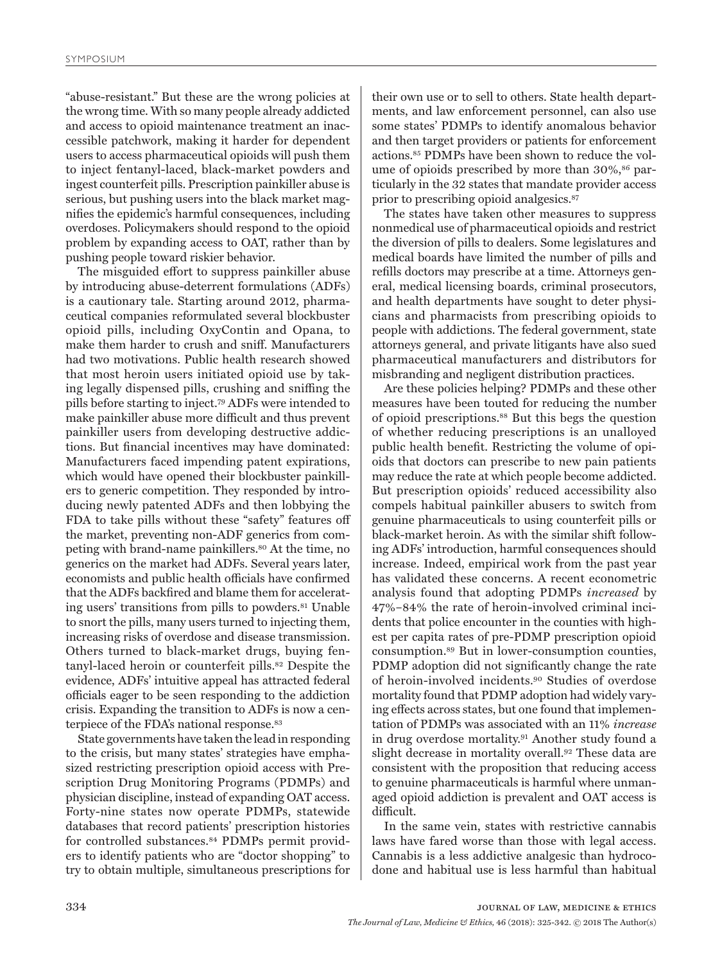"abuse-resistant." But these are the wrong policies at the wrong time. With so many people already addicted and access to opioid maintenance treatment an inaccessible patchwork, making it harder for dependent users to access pharmaceutical opioids will push them to inject fentanyl-laced, black-market powders and ingest counterfeit pills. Prescription painkiller abuse is serious, but pushing users into the black market magnifies the epidemic's harmful consequences, including overdoses. Policymakers should respond to the opioid problem by expanding access to OAT, rather than by pushing people toward riskier behavior.

The misguided effort to suppress painkiller abuse by introducing abuse-deterrent formulations (ADFs) is a cautionary tale. Starting around 2012, pharmaceutical companies reformulated several blockbuster opioid pills, including OxyContin and Opana, to make them harder to crush and sniff. Manufacturers had two motivations. Public health research showed that most heroin users initiated opioid use by taking legally dispensed pills, crushing and sniffing the pills before starting to inject.79 ADFs were intended to make painkiller abuse more difficult and thus prevent painkiller users from developing destructive addictions. But financial incentives may have dominated: Manufacturers faced impending patent expirations, which would have opened their blockbuster painkillers to generic competition. They responded by introducing newly patented ADFs and then lobbying the FDA to take pills without these "safety" features off the market, preventing non-ADF generics from competing with brand-name painkillers.80 At the time, no generics on the market had ADFs. Several years later, economists and public health officials have confirmed that the ADFs backfired and blame them for accelerating users' transitions from pills to powders.81 Unable to snort the pills, many users turned to injecting them, increasing risks of overdose and disease transmission. Others turned to black-market drugs, buying fentanyl-laced heroin or counterfeit pills.82 Despite the evidence, ADFs' intuitive appeal has attracted federal officials eager to be seen responding to the addiction crisis. Expanding the transition to ADFs is now a centerpiece of the FDA's national response.<sup>83</sup>

State governments have taken the lead in responding to the crisis, but many states' strategies have emphasized restricting prescription opioid access with Prescription Drug Monitoring Programs (PDMPs) and physician discipline, instead of expanding OAT access. Forty-nine states now operate PDMPs, statewide databases that record patients' prescription histories for controlled substances.84 PDMPs permit providers to identify patients who are "doctor shopping" to try to obtain multiple, simultaneous prescriptions for

their own use or to sell to others. State health departments, and law enforcement personnel, can also use some states' PDMPs to identify anomalous behavior and then target providers or patients for enforcement actions.85 PDMPs have been shown to reduce the volume of opioids prescribed by more than  $30\%$ ,  $86$  particularly in the 32 states that mandate provider access prior to prescribing opioid analgesics.87

The states have taken other measures to suppress nonmedical use of pharmaceutical opioids and restrict the diversion of pills to dealers. Some legislatures and medical boards have limited the number of pills and refills doctors may prescribe at a time. Attorneys general, medical licensing boards, criminal prosecutors, and health departments have sought to deter physicians and pharmacists from prescribing opioids to people with addictions. The federal government, state attorneys general, and private litigants have also sued pharmaceutical manufacturers and distributors for misbranding and negligent distribution practices.

Are these policies helping? PDMPs and these other measures have been touted for reducing the number of opioid prescriptions.88 But this begs the question of whether reducing prescriptions is an unalloyed public health benefit. Restricting the volume of opioids that doctors can prescribe to new pain patients may reduce the rate at which people become addicted. But prescription opioids' reduced accessibility also compels habitual painkiller abusers to switch from genuine pharmaceuticals to using counterfeit pills or black-market heroin. As with the similar shift following ADFs' introduction, harmful consequences should increase. Indeed, empirical work from the past year has validated these concerns. A recent econometric analysis found that adopting PDMPs *increased* by 47%–84% the rate of heroin-involved criminal incidents that police encounter in the counties with highest per capita rates of pre-PDMP prescription opioid consumption.89 But in lower-consumption counties, PDMP adoption did not significantly change the rate of heroin-involved incidents.90 Studies of overdose mortality found that PDMP adoption had widely varying effects across states, but one found that implementation of PDMPs was associated with an 11% *increase* in drug overdose mortality.91 Another study found a slight decrease in mortality overall.92 These data are consistent with the proposition that reducing access to genuine pharmaceuticals is harmful where unmanaged opioid addiction is prevalent and OAT access is difficult.

In the same vein, states with restrictive cannabis laws have fared worse than those with legal access. Cannabis is a less addictive analgesic than hydrocodone and habitual use is less harmful than habitual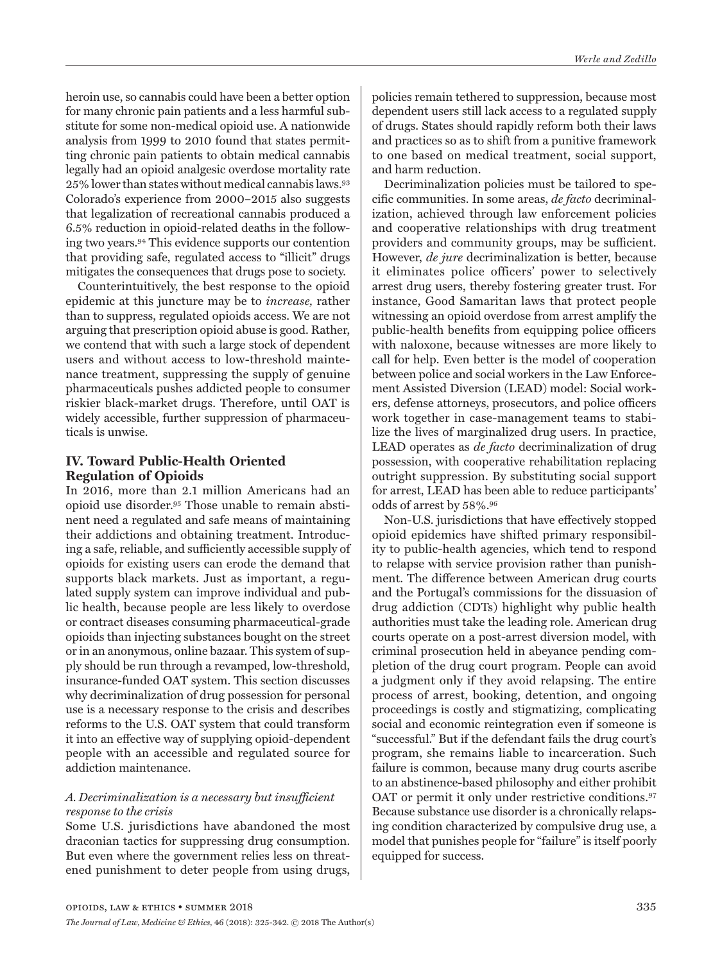heroin use, so cannabis could have been a better option for many chronic pain patients and a less harmful substitute for some non-medical opioid use. A nationwide analysis from 1999 to 2010 found that states permitting chronic pain patients to obtain medical cannabis legally had an opioid analgesic overdose mortality rate 25% lower than states without medical cannabis laws.93 Colorado's experience from 2000–2015 also suggests that legalization of recreational cannabis produced a 6.5% reduction in opioid-related deaths in the following two years.94 This evidence supports our contention that providing safe, regulated access to "illicit" drugs mitigates the consequences that drugs pose to society.

Counterintuitively, the best response to the opioid epidemic at this juncture may be to *increase,* rather than to suppress, regulated opioids access. We are not arguing that prescription opioid abuse is good. Rather, we contend that with such a large stock of dependent users and without access to low-threshold maintenance treatment, suppressing the supply of genuine pharmaceuticals pushes addicted people to consumer riskier black-market drugs. Therefore, until OAT is widely accessible, further suppression of pharmaceuticals is unwise.

# **IV. Toward Public-Health Oriented Regulation of Opioids**

In 2016, more than 2.1 million Americans had an opioid use disorder.95 Those unable to remain abstinent need a regulated and safe means of maintaining their addictions and obtaining treatment. Introducing a safe, reliable, and sufficiently accessible supply of opioids for existing users can erode the demand that supports black markets. Just as important, a regulated supply system can improve individual and public health, because people are less likely to overdose or contract diseases consuming pharmaceutical-grade opioids than injecting substances bought on the street or in an anonymous, online bazaar. This system of supply should be run through a revamped, low-threshold, insurance-funded OAT system. This section discusses why decriminalization of drug possession for personal use is a necessary response to the crisis and describes reforms to the U.S. OAT system that could transform it into an effective way of supplying opioid-dependent people with an accessible and regulated source for addiction maintenance.

## *A. Decriminalization is a necessary but insufficient response to the crisis*

Some U.S. jurisdictions have abandoned the most draconian tactics for suppressing drug consumption. But even where the government relies less on threatened punishment to deter people from using drugs,

policies remain tethered to suppression, because most dependent users still lack access to a regulated supply of drugs. States should rapidly reform both their laws and practices so as to shift from a punitive framework to one based on medical treatment, social support, and harm reduction.

Decriminalization policies must be tailored to specific communities. In some areas, *de facto* decriminalization, achieved through law enforcement policies and cooperative relationships with drug treatment providers and community groups, may be sufficient. However, *de jure* decriminalization is better, because it eliminates police officers' power to selectively arrest drug users, thereby fostering greater trust. For instance, Good Samaritan laws that protect people witnessing an opioid overdose from arrest amplify the public-health benefits from equipping police officers with naloxone, because witnesses are more likely to call for help. Even better is the model of cooperation between police and social workers in the Law Enforcement Assisted Diversion (LEAD) model: Social workers, defense attorneys, prosecutors, and police officers work together in case-management teams to stabilize the lives of marginalized drug users. In practice, LEAD operates as *de facto* decriminalization of drug possession, with cooperative rehabilitation replacing outright suppression. By substituting social support for arrest, LEAD has been able to reduce participants' odds of arrest by 58%.96

Non-U.S. jurisdictions that have effectively stopped opioid epidemics have shifted primary responsibility to public-health agencies, which tend to respond to relapse with service provision rather than punishment. The difference between American drug courts and the Portugal's commissions for the dissuasion of drug addiction (CDTs) highlight why public health authorities must take the leading role. American drug courts operate on a post-arrest diversion model, with criminal prosecution held in abeyance pending completion of the drug court program. People can avoid a judgment only if they avoid relapsing. The entire process of arrest, booking, detention, and ongoing proceedings is costly and stigmatizing, complicating social and economic reintegration even if someone is "successful." But if the defendant fails the drug court's program, she remains liable to incarceration. Such failure is common, because many drug courts ascribe to an abstinence-based philosophy and either prohibit OAT or permit it only under restrictive conditions.<sup>97</sup> Because substance use disorder is a chronically relapsing condition characterized by compulsive drug use, a model that punishes people for "failure" is itself poorly equipped for success.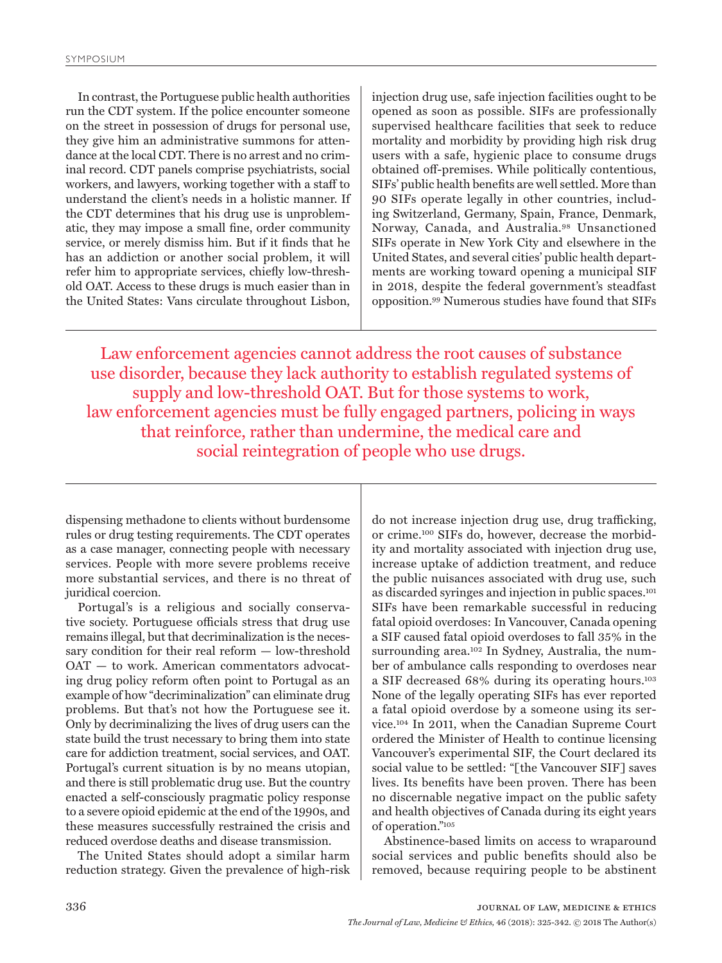In contrast, the Portuguese public health authorities run the CDT system. If the police encounter someone on the street in possession of drugs for personal use, they give him an administrative summons for attendance at the local CDT. There is no arrest and no criminal record. CDT panels comprise psychiatrists, social workers, and lawyers, working together with a staff to understand the client's needs in a holistic manner. If the CDT determines that his drug use is unproblematic, they may impose a small fine, order community service, or merely dismiss him. But if it finds that he has an addiction or another social problem, it will refer him to appropriate services, chiefly low-threshold OAT. Access to these drugs is much easier than in the United States: Vans circulate throughout Lisbon,

injection drug use, safe injection facilities ought to be opened as soon as possible. SIFs are professionally supervised healthcare facilities that seek to reduce mortality and morbidity by providing high risk drug users with a safe, hygienic place to consume drugs obtained off-premises. While politically contentious, SIFs' public health benefits are well settled. More than 90 SIFs operate legally in other countries, including Switzerland, Germany, Spain, France, Denmark, Norway, Canada, and Australia.98 Unsanctioned SIFs operate in New York City and elsewhere in the United States, and several cities' public health departments are working toward opening a municipal SIF in 2018, despite the federal government's steadfast opposition.99 Numerous studies have found that SIFs

Law enforcement agencies cannot address the root causes of substance use disorder, because they lack authority to establish regulated systems of supply and low-threshold OAT. But for those systems to work, law enforcement agencies must be fully engaged partners, policing in ways that reinforce, rather than undermine, the medical care and social reintegration of people who use drugs.

dispensing methadone to clients without burdensome rules or drug testing requirements. The CDT operates as a case manager, connecting people with necessary services. People with more severe problems receive more substantial services, and there is no threat of juridical coercion.

Portugal's is a religious and socially conservative society. Portuguese officials stress that drug use remains illegal, but that decriminalization is the necessary condition for their real reform — low-threshold OAT — to work. American commentators advocating drug policy reform often point to Portugal as an example of how "decriminalization" can eliminate drug problems. But that's not how the Portuguese see it. Only by decriminalizing the lives of drug users can the state build the trust necessary to bring them into state care for addiction treatment, social services, and OAT. Portugal's current situation is by no means utopian, and there is still problematic drug use. But the country enacted a self-consciously pragmatic policy response to a severe opioid epidemic at the end of the 1990s, and these measures successfully restrained the crisis and reduced overdose deaths and disease transmission.

The United States should adopt a similar harm reduction strategy. Given the prevalence of high-risk do not increase injection drug use, drug trafficking, or crime.100 SIFs do, however, decrease the morbidity and mortality associated with injection drug use, increase uptake of addiction treatment, and reduce the public nuisances associated with drug use, such as discarded syringes and injection in public spaces.101 SIFs have been remarkable successful in reducing fatal opioid overdoses: In Vancouver, Canada opening a SIF caused fatal opioid overdoses to fall 35% in the surrounding area.102 In Sydney, Australia, the number of ambulance calls responding to overdoses near a SIF decreased 68% during its operating hours.103 None of the legally operating SIFs has ever reported a fatal opioid overdose by a someone using its service.104 In 2011, when the Canadian Supreme Court ordered the Minister of Health to continue licensing Vancouver's experimental SIF, the Court declared its social value to be settled: "[the Vancouver SIF] saves lives. Its benefits have been proven. There has been no discernable negative impact on the public safety and health objectives of Canada during its eight years of operation."105

Abstinence-based limits on access to wraparound social services and public benefits should also be removed, because requiring people to be abstinent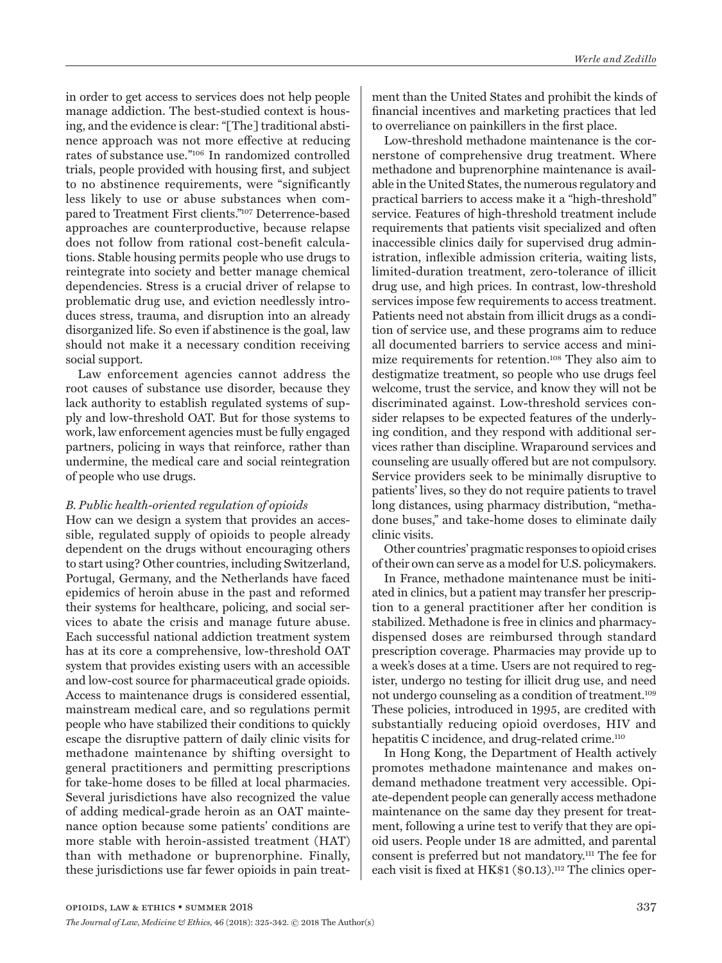in order to get access to services does not help people manage addiction. The best-studied context is housing, and the evidence is clear: "[The] traditional abstinence approach was not more effective at reducing rates of substance use."106 In randomized controlled trials, people provided with housing first, and subject to no abstinence requirements, were "significantly less likely to use or abuse substances when compared to Treatment First clients."107 Deterrence-based approaches are counterproductive, because relapse does not follow from rational cost-benefit calculations. Stable housing permits people who use drugs to reintegrate into society and better manage chemical dependencies. Stress is a crucial driver of relapse to problematic drug use, and eviction needlessly introduces stress, trauma, and disruption into an already disorganized life. So even if abstinence is the goal, law should not make it a necessary condition receiving social support.

Law enforcement agencies cannot address the root causes of substance use disorder, because they lack authority to establish regulated systems of supply and low-threshold OAT. But for those systems to work, law enforcement agencies must be fully engaged partners, policing in ways that reinforce, rather than undermine, the medical care and social reintegration of people who use drugs.

#### *B. Public health-oriented regulation of opioids*

How can we design a system that provides an accessible, regulated supply of opioids to people already dependent on the drugs without encouraging others to start using? Other countries, including Switzerland, Portugal, Germany, and the Netherlands have faced epidemics of heroin abuse in the past and reformed their systems for healthcare, policing, and social services to abate the crisis and manage future abuse. Each successful national addiction treatment system has at its core a comprehensive, low-threshold OAT system that provides existing users with an accessible and low-cost source for pharmaceutical grade opioids. Access to maintenance drugs is considered essential, mainstream medical care, and so regulations permit people who have stabilized their conditions to quickly escape the disruptive pattern of daily clinic visits for methadone maintenance by shifting oversight to general practitioners and permitting prescriptions for take-home doses to be filled at local pharmacies. Several jurisdictions have also recognized the value of adding medical-grade heroin as an OAT maintenance option because some patients' conditions are more stable with heroin-assisted treatment (HAT) than with methadone or buprenorphine. Finally, these jurisdictions use far fewer opioids in pain treat-

ment than the United States and prohibit the kinds of financial incentives and marketing practices that led to overreliance on painkillers in the first place.

Low-threshold methadone maintenance is the cornerstone of comprehensive drug treatment. Where methadone and buprenorphine maintenance is available in the United States, the numerous regulatory and practical barriers to access make it a "high-threshold" service. Features of high-threshold treatment include requirements that patients visit specialized and often inaccessible clinics daily for supervised drug administration, inflexible admission criteria, waiting lists, limited-duration treatment, zero-tolerance of illicit drug use, and high prices. In contrast, low-threshold services impose few requirements to access treatment. Patients need not abstain from illicit drugs as a condition of service use, and these programs aim to reduce all documented barriers to service access and minimize requirements for retention.108 They also aim to destigmatize treatment, so people who use drugs feel welcome, trust the service, and know they will not be discriminated against. Low-threshold services consider relapses to be expected features of the underlying condition, and they respond with additional services rather than discipline. Wraparound services and counseling are usually offered but are not compulsory. Service providers seek to be minimally disruptive to patients' lives, so they do not require patients to travel long distances, using pharmacy distribution, "methadone buses," and take-home doses to eliminate daily clinic visits.

Other countries' pragmatic responses to opioid crises of their own can serve as a model for U.S. policymakers.

In France, methadone maintenance must be initiated in clinics, but a patient may transfer her prescription to a general practitioner after her condition is stabilized. Methadone is free in clinics and pharmacydispensed doses are reimbursed through standard prescription coverage. Pharmacies may provide up to a week's doses at a time. Users are not required to register, undergo no testing for illicit drug use, and need not undergo counseling as a condition of treatment.109 These policies, introduced in 1995, are credited with substantially reducing opioid overdoses, HIV and hepatitis C incidence, and drug-related crime.<sup>110</sup>

In Hong Kong, the Department of Health actively promotes methadone maintenance and makes ondemand methadone treatment very accessible. Opiate-dependent people can generally access methadone maintenance on the same day they present for treatment, following a urine test to verify that they are opioid users. People under 18 are admitted, and parental consent is preferred but not mandatory.111 The fee for each visit is fixed at HK\$1 (\$0.13).<sup>112</sup> The clinics oper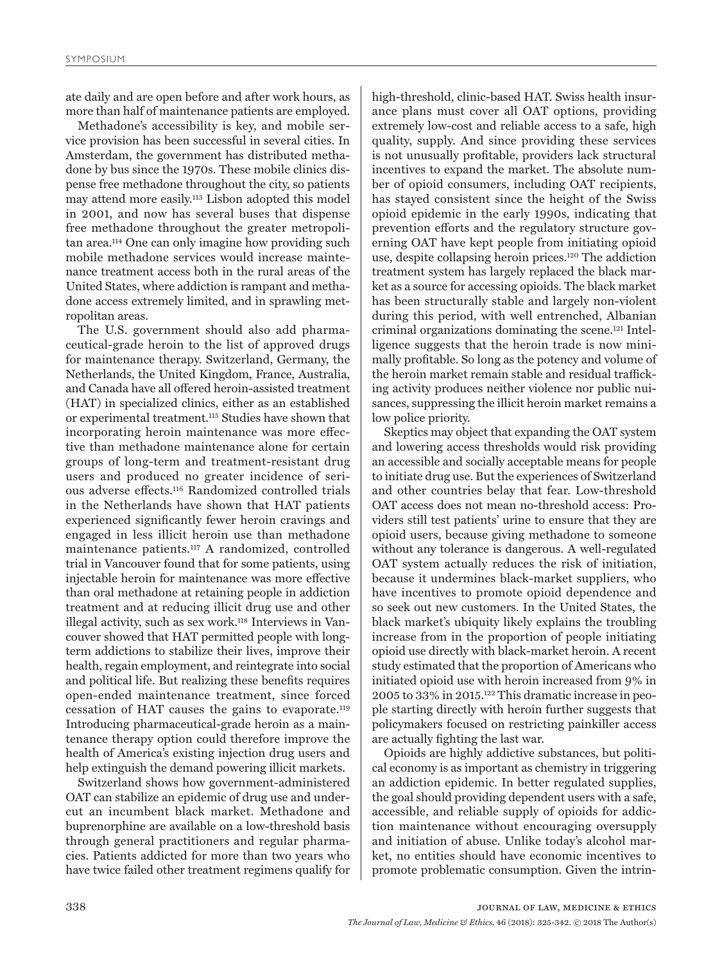ate daily and are open before and after work hours, as more than half of maintenance patients are employed.

Methadone's accessibility is key, and mobile service provision has been successful in several cities. In Amsterdam, the government has distributed methadone by bus since the 1970s. These mobile clinics dispense free methadone throughout the city, so patients may attend more easily.113 Lisbon adopted this model in 2001, and now has several buses that dispense free methadone throughout the greater metropolitan area.114 One can only imagine how providing such mobile methadone services would increase maintenance treatment access both in the rural areas of the United States, where addiction is rampant and methadone access extremely limited, and in sprawling metropolitan areas.

The U.S. government should also add pharmaceutical-grade heroin to the list of approved drugs for maintenance therapy. Switzerland, Germany, the Netherlands, the United Kingdom, France, Australia, and Canada have all offered heroin-assisted treatment (HAT) in specialized clinics, either as an established or experimental treatment.115 Studies have shown that incorporating heroin maintenance was more effective than methadone maintenance alone for certain groups of long-term and treatment-resistant drug users and produced no greater incidence of serious adverse effects.116 Randomized controlled trials in the Netherlands have shown that HAT patients experienced significantly fewer heroin cravings and engaged in less illicit heroin use than methadone maintenance patients.117 A randomized, controlled trial in Vancouver found that for some patients, using injectable heroin for maintenance was more effective than oral methadone at retaining people in addiction treatment and at reducing illicit drug use and other illegal activity, such as sex work.118 Interviews in Vancouver showed that HAT permitted people with longterm addictions to stabilize their lives, improve their health, regain employment, and reintegrate into social and political life. But realizing these benefits requires open-ended maintenance treatment, since forced cessation of HAT causes the gains to evaporate.119 Introducing pharmaceutical-grade heroin as a maintenance therapy option could therefore improve the health of America's existing injection drug users and help extinguish the demand powering illicit markets.

Switzerland shows how government-administered OAT can stabilize an epidemic of drug use and undercut an incumbent black market. Methadone and buprenorphine are available on a low-threshold basis through general practitioners and regular pharmacies. Patients addicted for more than two years who have twice failed other treatment regimens qualify for

high-threshold, clinic-based HAT. Swiss health insurance plans must cover all OAT options, providing extremely low-cost and reliable access to a safe, high quality, supply. And since providing these services is not unusually profitable, providers lack structural incentives to expand the market. The absolute number of opioid consumers, including OAT recipients, has stayed consistent since the height of the Swiss opioid epidemic in the early 1990s, indicating that prevention efforts and the regulatory structure governing OAT have kept people from initiating opioid use, despite collapsing heroin prices.120 The addiction treatment system has largely replaced the black market as a source for accessing opioids. The black market has been structurally stable and largely non-violent during this period, with well entrenched, Albanian criminal organizations dominating the scene.121 Intelligence suggests that the heroin trade is now minimally profitable. So long as the potency and volume of the heroin market remain stable and residual trafficking activity produces neither violence nor public nuisances, suppressing the illicit heroin market remains a low police priority.

Skeptics may object that expanding the OAT system and lowering access thresholds would risk providing an accessible and socially acceptable means for people to initiate drug use. But the experiences of Switzerland and other countries belay that fear. Low-threshold OAT access does not mean no-threshold access: Providers still test patients' urine to ensure that they are opioid users, because giving methadone to someone without any tolerance is dangerous. A well-regulated OAT system actually reduces the risk of initiation, because it undermines black-market suppliers, who have incentives to promote opioid dependence and so seek out new customers. In the United States, the black market's ubiquity likely explains the troubling increase from in the proportion of people initiating opioid use directly with black-market heroin. A recent study estimated that the proportion of Americans who initiated opioid use with heroin increased from 9% in 2005 to 33% in 2015.122 This dramatic increase in people starting directly with heroin further suggests that policymakers focused on restricting painkiller access are actually fighting the last war.

Opioids are highly addictive substances, but political economy is as important as chemistry in triggering an addiction epidemic. In better regulated supplies, the goal should providing dependent users with a safe, accessible, and reliable supply of opioids for addiction maintenance without encouraging oversupply and initiation of abuse. Unlike today's alcohol market, no entities should have economic incentives to promote problematic consumption. Given the intrin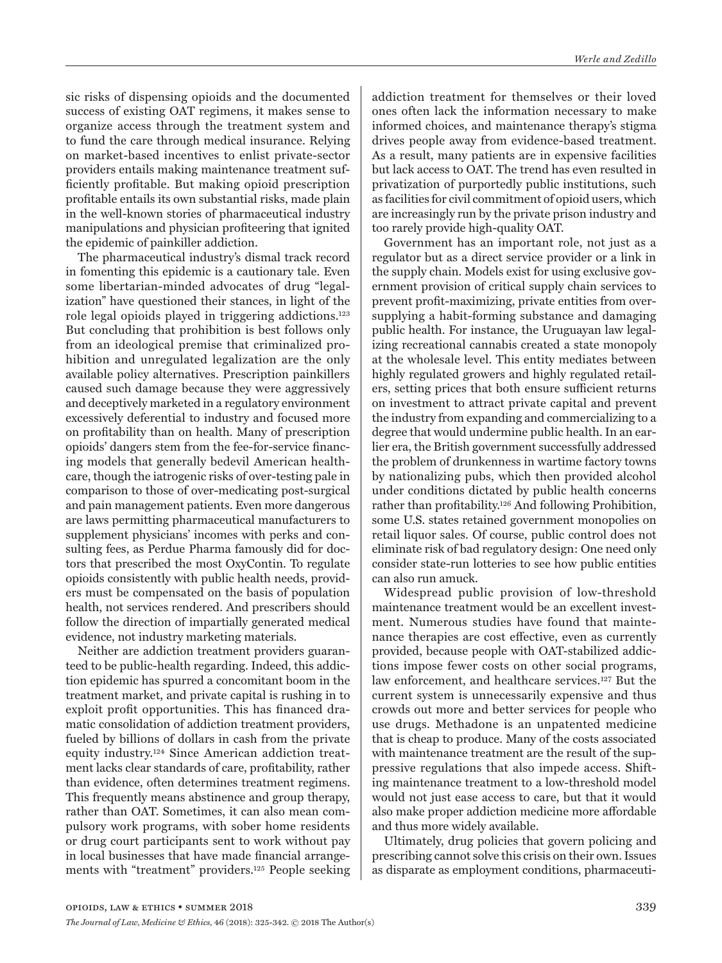sic risks of dispensing opioids and the documented success of existing OAT regimens, it makes sense to organize access through the treatment system and to fund the care through medical insurance. Relying on market-based incentives to enlist private-sector providers entails making maintenance treatment sufficiently profitable. But making opioid prescription profitable entails its own substantial risks, made plain in the well-known stories of pharmaceutical industry manipulations and physician profiteering that ignited the epidemic of painkiller addiction.

The pharmaceutical industry's dismal track record in fomenting this epidemic is a cautionary tale. Even some libertarian-minded advocates of drug "legalization" have questioned their stances, in light of the role legal opioids played in triggering addictions.123 But concluding that prohibition is best follows only from an ideological premise that criminalized prohibition and unregulated legalization are the only available policy alternatives. Prescription painkillers caused such damage because they were aggressively and deceptively marketed in a regulatory environment excessively deferential to industry and focused more on profitability than on health. Many of prescription opioids' dangers stem from the fee-for-service financing models that generally bedevil American healthcare, though the iatrogenic risks of over-testing pale in comparison to those of over-medicating post-surgical and pain management patients. Even more dangerous are laws permitting pharmaceutical manufacturers to supplement physicians' incomes with perks and consulting fees, as Perdue Pharma famously did for doctors that prescribed the most OxyContin. To regulate opioids consistently with public health needs, providers must be compensated on the basis of population health, not services rendered. And prescribers should follow the direction of impartially generated medical evidence, not industry marketing materials.

Neither are addiction treatment providers guaranteed to be public-health regarding. Indeed, this addiction epidemic has spurred a concomitant boom in the treatment market, and private capital is rushing in to exploit profit opportunities. This has financed dramatic consolidation of addiction treatment providers, fueled by billions of dollars in cash from the private equity industry.124 Since American addiction treatment lacks clear standards of care, profitability, rather than evidence, often determines treatment regimens. This frequently means abstinence and group therapy, rather than OAT. Sometimes, it can also mean compulsory work programs, with sober home residents or drug court participants sent to work without pay in local businesses that have made financial arrangements with "treatment" providers.125 People seeking

addiction treatment for themselves or their loved ones often lack the information necessary to make informed choices, and maintenance therapy's stigma drives people away from evidence-based treatment. As a result, many patients are in expensive facilities but lack access to OAT. The trend has even resulted in privatization of purportedly public institutions, such as facilities for civil commitment of opioid users, which are increasingly run by the private prison industry and too rarely provide high-quality OAT.

Government has an important role, not just as a regulator but as a direct service provider or a link in the supply chain. Models exist for using exclusive government provision of critical supply chain services to prevent profit-maximizing, private entities from oversupplying a habit-forming substance and damaging public health. For instance, the Uruguayan law legalizing recreational cannabis created a state monopoly at the wholesale level. This entity mediates between highly regulated growers and highly regulated retailers, setting prices that both ensure sufficient returns on investment to attract private capital and prevent the industry from expanding and commercializing to a degree that would undermine public health. In an earlier era, the British government successfully addressed the problem of drunkenness in wartime factory towns by nationalizing pubs, which then provided alcohol under conditions dictated by public health concerns rather than profitability.126 And following Prohibition, some U.S. states retained government monopolies on retail liquor sales. Of course, public control does not eliminate risk of bad regulatory design: One need only consider state-run lotteries to see how public entities can also run amuck.

Widespread public provision of low-threshold maintenance treatment would be an excellent investment. Numerous studies have found that maintenance therapies are cost effective, even as currently provided, because people with OAT-stabilized addictions impose fewer costs on other social programs, law enforcement, and healthcare services.127 But the current system is unnecessarily expensive and thus crowds out more and better services for people who use drugs. Methadone is an unpatented medicine that is cheap to produce. Many of the costs associated with maintenance treatment are the result of the suppressive regulations that also impede access. Shifting maintenance treatment to a low-threshold model would not just ease access to care, but that it would also make proper addiction medicine more affordable and thus more widely available.

Ultimately, drug policies that govern policing and prescribing cannot solve this crisis on their own. Issues as disparate as employment conditions, pharmaceuti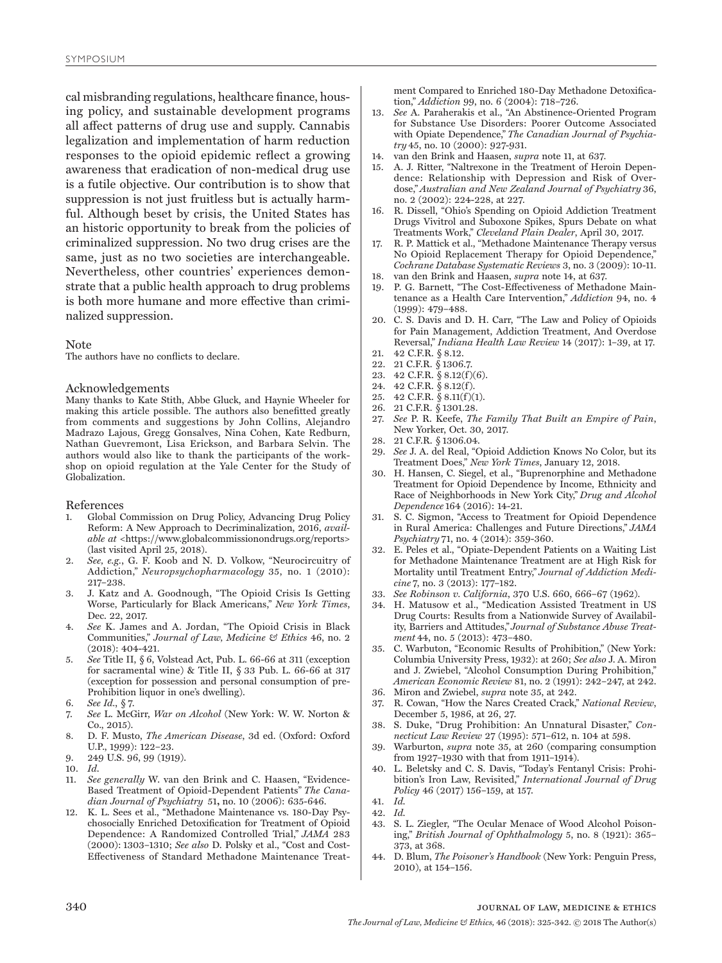cal misbranding regulations, healthcare finance, housing policy, and sustainable development programs all affect patterns of drug use and supply. Cannabis legalization and implementation of harm reduction responses to the opioid epidemic reflect a growing awareness that eradication of non-medical drug use is a futile objective. Our contribution is to show that suppression is not just fruitless but is actually harmful. Although beset by crisis, the United States has an historic opportunity to break from the policies of criminalized suppression. No two drug crises are the same, just as no two societies are interchangeable. Nevertheless, other countries' experiences demonstrate that a public health approach to drug problems is both more humane and more effective than criminalized suppression.

#### Note

The authors have no conflicts to declare.

#### Acknowledgements

Many thanks to Kate Stith, Abbe Gluck, and Haynie Wheeler for making this article possible. The authors also benefitted greatly from comments and suggestions by John Collins, Alejandro Madrazo Lajous, Gregg Gonsalves, Nina Cohen, Kate Redburn, Nathan Guevremont, Lisa Erickson, and Barbara Selvin. The authors would also like to thank the participants of the workshop on opioid regulation at the Yale Center for the Study of Globalization.

#### References

- 1. Global Commission on Drug Policy, Advancing Drug Policy Reform: A New Approach to Decriminalization, 2016, *available at* <https://www.globalcommissionondrugs.org/reports> (last visited April 25, 2018).
- 2. *See, e.g.*, G. F. Koob and N. D. Volkow, "Neurocircuitry of Addiction," *Neuropsychopharmacology* 35, no. 1 (2010): 217–238.
- 3. J. Katz and A. Goodnough, "The Opioid Crisis Is Getting Worse, Particularly for Black Americans," *New York Times*, Dec. 22, 2017.
- 4. *See* K. James and A. Jordan, "The Opioid Crisis in Black Communities," *Journal of Law, Medicine & Ethics* 46, no. 2 (2018): 404-421.
- 5. *See* Title II, § 6, Volstead Act, Pub. L. 66-66 at 311 (exception for sacramental wine) & Title II,  $\S 33$  Pub. L. 66-66 at 317 (exception for possession and personal consumption of pre-Prohibition liquor in one's dwelling).
- 6. *See Id.*, § 7.
- 7. *See* L. McGirr, *War on Alcohol* (New York: W. W. Norton & Co., 2015).
- 8. D. F. Musto, *The American Disease*, 3d ed. (Oxford: Oxford U.P., 1999): 122–23.
- 9. 249 U.S. 96, 99 (1919).
- 10. *Id*.
- 11. *See generally* W. van den Brink and C. Haasen, "Evidence-Based Treatment of Opioid-Dependent Patients" *The Canadian Journal of Psychiatry* 51**,** no. 10 (2006): 635-646.
- 12. K. L. Sees et al., "Methadone Maintenance vs. 180-Day Psychosocially Enriched Detoxification for Treatment of Opioid Dependence: A Randomized Controlled Trial," *JAMA* 283 (2000): 1303–1310; *See also* D. Polsky et al., "Cost and Cost-Effectiveness of Standard Methadone Maintenance Treat-

ment Compared to Enriched 180-Day Methadone Detoxification," *Addiction* 99, no. 6 (2004): 718–726.

- 13. *See* A. Paraherakis et al., "An Abstinence-Oriented Program for Substance Use Disorders: Poorer Outcome Associated with Opiate Dependence," *The Canadian Journal of Psychiatry* 45, no. 10 (2000): 927-931.
- 14. van den Brink and Haasen, *supra* note 11, at 637.
- 15. A. J. Ritter, "Naltrexone in the Treatment of Heroin Dependence: Relationship with Depression and Risk of Overdose," *Australian and New Zealand Journal of Psychiatry* 36, no. 2 (2002): 224-228, at 227.
- 16. R. Dissell, "Ohio's Spending on Opioid Addiction Treatment Drugs Vivitrol and Suboxone Spikes, Spurs Debate on what Treatments Work," *Cleveland Plain Dealer*, April 30, 2017.
- 17. R. P. Mattick et al., "Methadone Maintenance Therapy versus No Opioid Replacement Therapy for Opioid Dependence," *Cochrane Database Systematic Reviews* 3, no. 3 (2009): 10-11.
- 18. van den Brink and Haasen, *supra* note 14, at 637.
- 19. P. G. Barnett, "The Cost-Effectiveness of Methadone Maintenance as a Health Care Intervention," *Addiction* 94, no. 4 (1999): 479–488.
- 20. C. S. Davis and D. H. Carr, "The Law and Policy of Opioids for Pain Management, Addiction Treatment, And Overdose Reversal," *Indiana Health Law Review* 14 (2017): 1–39, at 17. 21. 42 C.F.R. § 8.12.
- 22. 21 C.F.R. § 1306.7.
- 23. 42 C.F.R. § 8.12(f)(6).
- 24. 42 C.F.R. § 8.12(f).
- 25. 42 C.F.R. § 8.11(f)(1).
- 26. 21 C.F.R. § 1301.28.
- 27. *See* P. R. Keefe, *The Family That Built an Empire of Pain*, New Yorker, Oct. 30, 2017.
- 28. 21 C.F.R. § 1306.04.
- 29. *See* J. A. del Real, "Opioid Addiction Knows No Color, but its Treatment Does," *New York Times*, January 12, 2018.
- 30. H. Hansen, C. Siegel, et al., "Buprenorphine and Methadone Treatment for Opioid Dependence by Income, Ethnicity and Race of Neighborhoods in New York City," *Drug and Alcohol Dependence* 164 (2016): 14-21.
- 31. S. C. Sigmon, "Access to Treatment for Opioid Dependence in Rural America: Challenges and Future Directions," *JAMA Psychiatry* 71, no. 4 (2014): 359-360.
- 32. E. Peles et al., "Opiate-Dependent Patients on a Waiting List for Methadone Maintenance Treatment are at High Risk for Mortality until Treatment Entry," *Journal of Addiction Medicine* 7, no. 3 (2013): 177–182.
- 33. *See Robinson v. California*, 370 U.S. 660, 666–67 (1962).
- 34. H. Matusow et al., "Medication Assisted Treatment in US Drug Courts: Results from a Nationwide Survey of Availability, Barriers and Attitudes," *Journal of Substance Abuse Treatment* 44, no. 5 (2013): 473–480.
- 35. C. Warbuton, "Economic Results of Prohibition," (New York: Columbia University Press, 1932): at 260; *See also* J. A. Miron and J. Zwiebel, "Alcohol Consumption During Prohibition," *American Economic Review* 81, no. 2 (1991): 242–247, at 242.
- 36. Miron and Zwiebel, *supra* note 35, at 242.
- 37. R. Cowan, "How the Narcs Created Crack," *National Review*, December 5, 1986, at 26, 27.
- 38. S. Duke, "Drug Prohibition: An Unnatural Disaster," *Connecticut Law Review* 27 (1995): 571–612, n. 104 at 598.
- 39. Warburton, *supra* note 35, at 260 (comparing consumption from 1927–1930 with that from 1911–1914).
- 40. L. Beletsky and C. S. Davis, "Today's Fentanyl Crisis: Prohibition's Iron Law, Revisited," *International Journal of Drug Policy* 46 (2017) 156–159, at 157.
- 41. *Id.* 42. *Id.*
- 43. S. L. Ziegler, "The Ocular Menace of Wood Alcohol Poisoning," *British Journal of Ophthalmology* 5, no. 8 (1921): 365– 373, at 368.
- 44. D. Blum, *The Poisoner's Handbook* (New York: Penguin Press, 2010), at 154–156.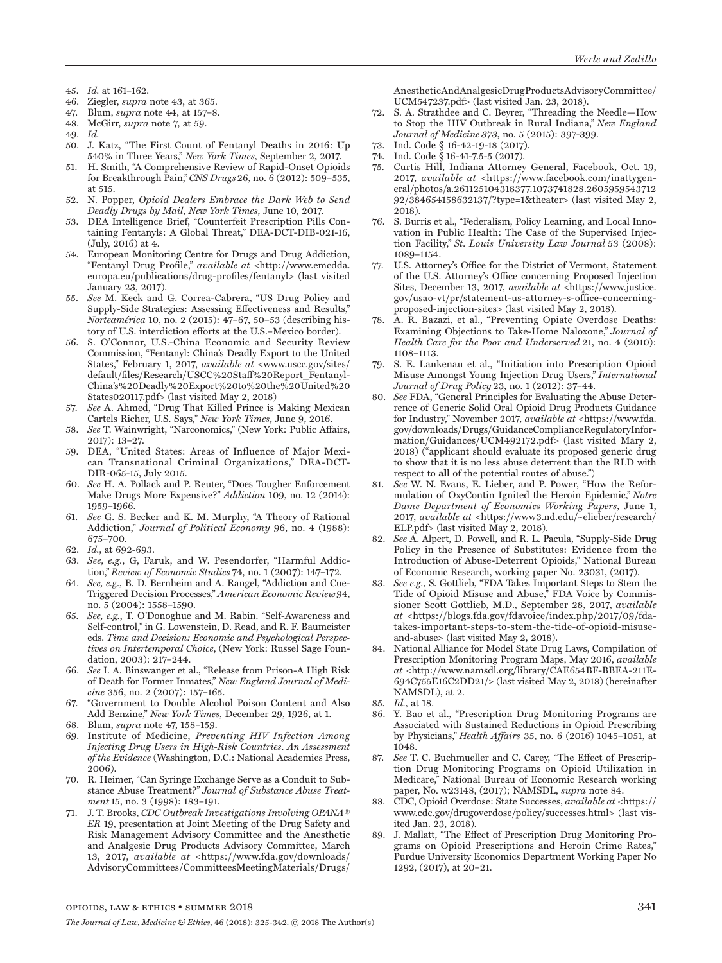- 45. *Id.* at 161–162.
- 46. Ziegler, *supra* note 43, at 365.
- 47. Blum, *supra* note 44, at 157–8.
- 48. McGirr, *supra* note 7, at 59.
- 49. *Id.*
- 50. J. Katz, "The First Count of Fentanyl Deaths in 2016: Up 540% in Three Years," *New York Times*, September 2, 2017.
- 51. H. Smith, "A Comprehensive Review of Rapid-Onset Opioids for Breakthrough Pain,"*CNS Drugs*26, no. 6 (2012): 509–535, at 515.
- 52. N. Popper, *Opioid Dealers Embrace the Dark Web to Send Deadly Drugs by Mail*, *New York Times*, June 10, 2017.
- 53. DEA Intelligence Brief, "Counterfeit Prescription Pills Containing Fentanyls: A Global Threat," DEA-DCT-DIB-021-16, (July, 2016) at 4.
- 54. European Monitoring Centre for Drugs and Drug Addiction, "Fentanyl Drug Profile," *available at* <http://www.emcdda. europa.eu/publications/drug-profiles/fentanyl> (last visited January 23, 2017).
- 55. *See* M. Keck and G. Correa-Cabrera, "US Drug Policy and Supply-Side Strategies: Assessing Effectiveness and Results," *Norteamérica* 10, no. 2 (2015): 47–67, 50–53 (describing history of U.S. interdiction efforts at the U.S.–Mexico border).
- 56. S. O'Connor, U.S.-China Economic and Security Review Commission, "Fentanyl: China's Deadly Export to the United States," February 1, 2017, *available at* <www.uscc.gov/sites/ default/files/Research/USCC%20Staff%20Report\_Fentanyl-China's%20Deadly%20Export%20to%20the%20United%20 States020117.pdf> (last visited May 2, 2018)
- 57. *See* A. Ahmed, "Drug That Killed Prince is Making Mexican Cartels Richer, U.S. Says," *New York Times*, June 9, 2016.
- 58. *See* T. Wainwright, "Narconomics," (New York: Public Affairs, 2017): 13–27.
- 59. DEA, "United States: Areas of Influence of Major Mexican Transnational Criminal Organizations," DEA-DCT-DIR-065-15, July 2015.
- 60. *See* H. A. Pollack and P. Reuter, "Does Tougher Enforcement Make Drugs More Expensive?" *Addiction* 109, no. 12 (2014): 1959–1966.
- 61. *See* G. S. Becker and K. M. Murphy, "A Theory of Rational Addiction," *Journal of Political Economy* 96, no. 4 (1988): 675–700.
- 62. *Id.*, at 692-693.
- 63. *See, e.g.*, G, Faruk, and W. Pesendorfer, "Harmful Addiction," *Review of Economic Studies* 74, no. 1 (2007): 147–172.
- 64. *See, e.g.*, B. D. Bernheim and A. Rangel, "Addiction and Cue-Triggered Decision Processes," *American Economic Review* 94, no. 5 (2004): 1558–1590.
- 65. *See, e.g.*, T. O'Donoghue and M. Rabin. "Self-Awareness and Self-control," in G. Lowenstein, D. Read, and R. F. Baumeister eds. *Time and Decision: Economic and Psychological Perspectives on Intertemporal Choice*, (New York: Russel Sage Foundation, 2003): 217–244.
- 66. *See* I. A. Binswanger et al., "Release from Prison-A High Risk of Death for Former Inmates," *New England Journal of Medicine* 356, no. 2 (2007): 157–165.
- 67. "Government to Double Alcohol Poison Content and Also Add Benzine," *New York Times*, December 29, 1926, at 1.
- 68. Blum, *supra* note 47, 158–159.
- 69. Institute of Medicine, *Preventing HIV Infection Among Injecting Drug Users in High-Risk Countries*. *An Assessment of the Evidence* (Washington, D.C.: National Academies Press, 2006).
- 70. R. Heimer, "Can Syringe Exchange Serve as a Conduit to Substance Abuse Treatment?" *Journal of Substance Abuse Treatment* 15, no. 3 (1998): 183–191.
- 71. J. T. Brooks, *CDC Outbreak Investigations Involving OPANA® ER* 19, presentation at Joint Meeting of the Drug Safety and Risk Management Advisory Committee and the Anesthetic and Analgesic Drug Products Advisory Committee, March 13, 2017, *available at* <https://www.fda.gov/downloads/ AdvisoryCommittees/CommitteesMeetingMaterials/Drugs/

AnestheticAndAnalgesicDrugProductsAdvisoryCommittee/ UCM547237.pdf> (last visited Jan. 23, 2018).

- 72. S. A. Strathdee and C. Beyrer, "Threading the Needle—How to Stop the HIV Outbreak in Rural Indiana," *New England Journal of Medicine 373*, no. 5 (2015): 397-399.
- 73. Ind. Code § 16-42-19-18 (2017).
- 74. Ind. Code § 16-41-7.5-5 (2017).
- 75. Curtis Hill, Indiana Attorney General, Facebook, Oct. 19, 2017, *available at* <https://www.facebook.com/inattygeneral/photos/a.261125104318377.1073741828.2605959543712 92/384654158632137/?type=1&theater> (last visited May 2, 2018).
- 76. S. Burris et al., "Federalism, Policy Learning, and Local Innovation in Public Health: The Case of the Supervised Injection Facility," *St*. *Louis University Law Journal* 53 (2008): 1089–1154.
- 77. U.S. Attorney's Office for the District of Vermont, Statement of the U.S. Attorney's Office concerning Proposed Injection Sites, December 13, 2017, *available at* <https://www.justice. gov/usao-vt/pr/statement-us-attorney-s-office-concerningproposed-injection-sites> (last visited May 2, 2018).
- 78. A. R. Bazazi, et al., "Preventing Opiate Overdose Deaths: Examining Objections to Take-Home Naloxone," *Journal of Health Care for the Poor and Underserved* 21, no. 4 (2010): 1108–1113.
- 79. S. E. Lankenau et al., "Initiation into Prescription Opioid Misuse Amongst Young Injection Drug Users," *International Journal of Drug Policy* 23, no. 1 (2012): 37–44.
- 80. *See* FDA, "General Principles for Evaluating the Abuse Deterrence of Generic Solid Oral Opioid Drug Products Guidance for Industry," November 2017, *available at* <https://www.fda. gov/downloads/Drugs/GuidanceComplianceRegulatoryInformation/Guidances/UCM492172.pdf> (last visited Mary 2, 2018) ("applicant should evaluate its proposed generic drug to show that it is no less abuse deterrent than the RLD with respect to **all** of the potential routes of abuse.")
- 81. *See* W. N. Evans, E. Lieber, and P. Power, "How the Reformulation of OxyContin Ignited the Heroin Epidemic," *Notre Dame Department of Economics Working Papers*, June 1, 2017, *available at* <https://www3.nd.edu/~elieber/research/ ELP.pdf> (last visited May 2, 2018).
- 82. *See* A. Alpert, D. Powell, and R. L. Pacula, "Supply-Side Drug Policy in the Presence of Substitutes: Evidence from the Introduction of Abuse-Deterrent Opioids," National Bureau of Economic Research, working paper No. 23031, (2017).
- See e.g., S. Gottlieb, "FDA Takes Important Steps to Stem the Tide of Opioid Misuse and Abuse," FDA Voice by Commissioner Scott Gottlieb, M.D., September 28, 2017, *available at* <https://blogs.fda.gov/fdavoice/index.php/2017/09/fdatakes-important-steps-to-stem-the-tide-of-opioid-misuseand-abuse> (last visited May 2, 2018).
- National Alliance for Model State Drug Laws, Compilation of Prescription Monitoring Program Maps, May 2016, *available at* <http://www.namsdl.org/library/CAE654BF-BBEA-211E-694C755E16C2DD21/> (last visited May 2, 2018) (hereinafter NAMSDL), at 2.
- 85. *Id.*, at 18.
- 86. Y. Bao et al., "Prescription Drug Monitoring Programs are Associated with Sustained Reductions in Opioid Prescribing by Physicians," *Health Affairs* 35, no. 6 (2016) 1045–1051, at 1048.
- 87. *See* T. C. Buchmueller and C. Carey, "The Effect of Prescription Drug Monitoring Programs on Opioid Utilization in Medicare," National Bureau of Economic Research working paper, No. w23148, (2017); NAMSDL, *supra* note 84.
- 88. CDC, Opioid Overdose: State Successes, *available at* <https:// www.cdc.gov/drugoverdose/policy/successes.html> (last visited Jan. 23, 2018).
- 89. J. Mallatt, "The Effect of Prescription Drug Monitoring Programs on Opioid Prescriptions and Heroin Crime Rates," Purdue University Economics Department Working Paper No 1292, (2017), at 20–21.

#### opioids, law & ethics • summer 2018 341